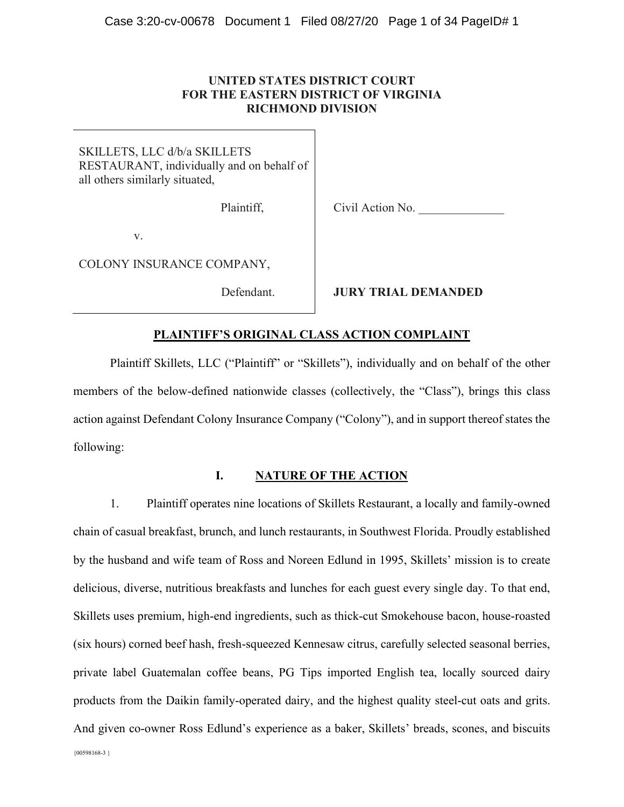## **UNITED STATES DISTRICT COURT FOR THE EASTERN DISTRICT OF VIRGINIA RICHMOND DIVISION**

SKILLETS, LLC d/b/a SKILLETS RESTAURANT, individually and on behalf of all others similarly situated,

Plaintiff,

Civil Action No.

v.

COLONY INSURANCE COMPANY,

Defendant.

**JURY TRIAL DEMANDED**

## **PLAINTIFF¶S ORIGINAL CLASS ACTION COMPLAINT**

Plaintiff Skillets, LLC ("Plaintiff" or "Skillets"), individually and on behalf of the other members of the below-defined nationwide classes (collectively, the "Class"), brings this class action against Defendant Colony Insurance Company ("Colony"), and in support thereof states the following:

## **I. NATURE OF THE ACTION**

{00598168-3 } 1. Plaintiff operates nine locations of Skillets Restaurant, a locally and family-owned chain of casual breakfast, brunch, and lunch restaurants, in Southwest Florida. Proudly established by the husband and wife team of Ross and Noreen Edlund in 1995, Skillets' mission is to create delicious, diverse, nutritious breakfasts and lunches for each guest every single day. To that end, Skillets uses premium, high-end ingredients, such as thick-cut Smokehouse bacon, house-roasted (six hours) corned beef hash, fresh-squeezed Kennesaw citrus, carefully selected seasonal berries, private label Guatemalan coffee beans, PG Tips imported English tea, locally sourced dairy products from the Daikin family-operated dairy, and the highest quality steel-cut oats and grits. And given co-owner Ross Edlund's experience as a baker, Skillets' breads, scones, and biscuits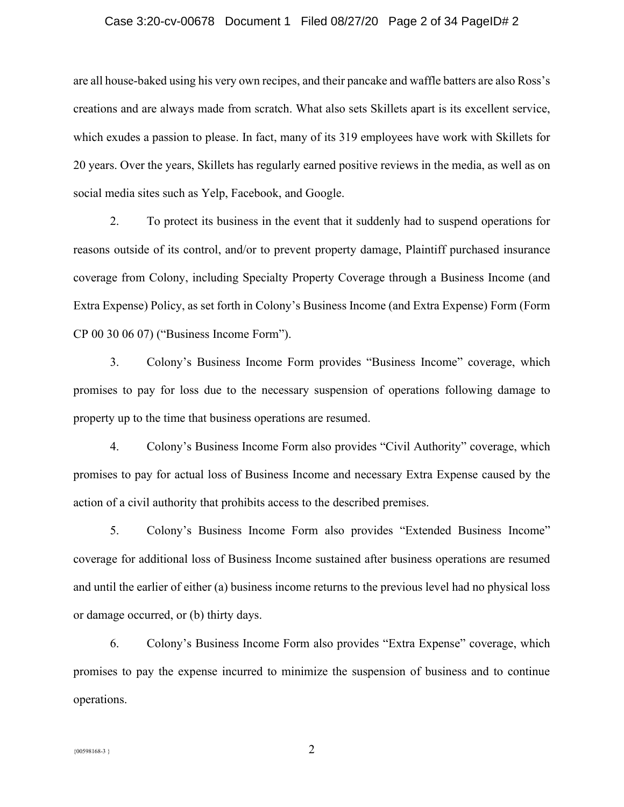#### Case 3:20-cv-00678 Document 1 Filed 08/27/20 Page 2 of 34 PageID# 2

are all house-baked using his very own recipes, and their pancake and waffle batters are also Ross's creations and are always made from scratch. What also sets Skillets apart is its excellent service, which exudes a passion to please. In fact, many of its 319 employees have work with Skillets for 20 years. Over the years, Skillets has regularly earned positive reviews in the media, as well as on social media sites such as Yelp, Facebook, and Google.

2. To protect its business in the event that it suddenly had to suspend operations for reasons outside of its control, and/or to prevent property damage, Plaintiff purchased insurance coverage from Colony, including Specialty Property Coverage through a Business Income (and Extra Expense) Policy, as set forth in Colony's Business Income (and Extra Expense) Form (Form  $CP$  00 30 06 07) ("Business Income Form").

3. Colony's Business Income Form provides "Business Income" coverage, which promises to pay for loss due to the necessary suspension of operations following damage to property up to the time that business operations are resumed.

4. Colony's Business Income Form also provides "Civil Authority" coverage, which promises to pay for actual loss of Business Income and necessary Extra Expense caused by the action of a civil authority that prohibits access to the described premises.

5. Colony's Business Income Form also provides "Extended Business Income" coverage for additional loss of Business Income sustained after business operations are resumed and until the earlier of either (a) business income returns to the previous level had no physical loss or damage occurred, or (b) thirty days.

6. Colony's Business Income Form also provides "Extra Expense" coverage, which promises to pay the expense incurred to minimize the suspension of business and to continue operations.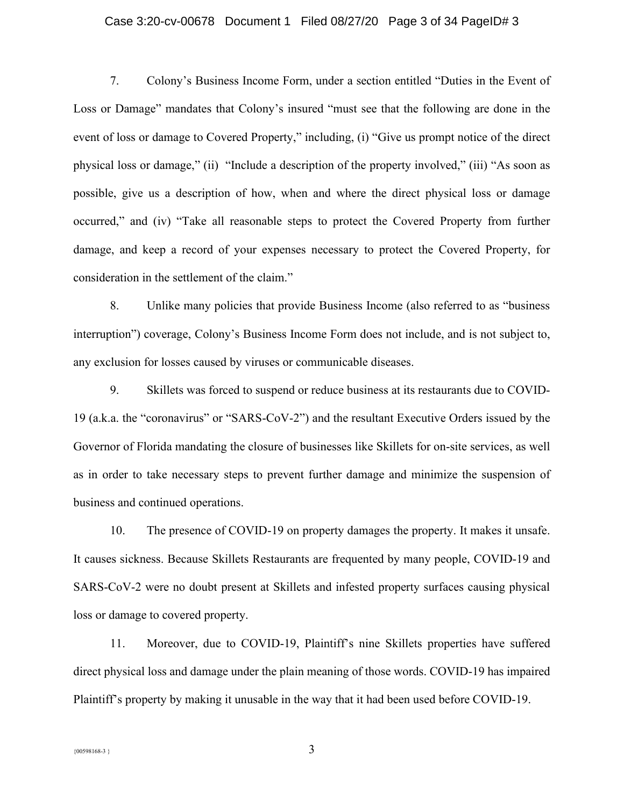#### Case 3:20-cv-00678 Document 1 Filed 08/27/20 Page 3 of 34 PageID# 3

7. Colony's Business Income Form, under a section entitled "Duties in the Event of Loss or Damage" mandates that Colony's insured "must see that the following are done in the event of loss or damage to Covered Property," including, (i) "Give us prompt notice of the direct physical loss or damage," (ii) "Include a description of the property involved," (iii) "As soon as possible, give us a description of how, when and where the direct physical loss or damage occurred," and (iv) "Take all reasonable steps to protect the Covered Property from further damage, and keep a record of your expenses necessary to protect the Covered Property, for consideration in the settlement of the claim."

8. Unlike many policies that provide Business Income (also referred to as "business" interruption") coverage, Colony's Business Income Form does not include, and is not subject to, any exclusion for losses caused by viruses or communicable diseases.

9. Skillets was forced to suspend or reduce business at its restaurants due to COVID-19 (a.k.a. the "coronavirus" or "SARS-CoV-2") and the resultant Executive Orders issued by the Governor of Florida mandating the closure of businesses like Skillets for on-site services, as well as in order to take necessary steps to prevent further damage and minimize the suspension of business and continued operations.

10. The presence of COVID-19 on property damages the property. It makes it unsafe. It causes sickness. Because Skillets Restaurants are frequented by many people, COVID-19 and SARS-CoV-2 were no doubt present at Skillets and infested property surfaces causing physical loss or damage to covered property.

11. Moreover, due to COVID-19, Plaintiff's nine Skillets properties have suffered direct physical loss and damage under the plain meaning of those words. COVID-19 has impaired Plaintiff's property by making it unusable in the way that it had been used before COVID-19.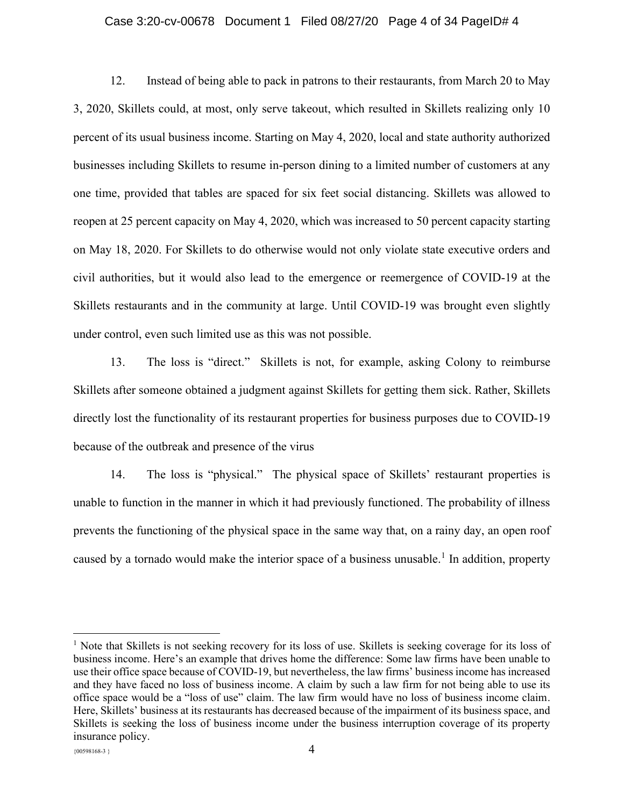#### Case 3:20-cv-00678 Document 1 Filed 08/27/20 Page 4 of 34 PageID# 4

12. Instead of being able to pack in patrons to their restaurants, from March 20 to May 3, 2020, Skillets could, at most, only serve takeout, which resulted in Skillets realizing only 10 percent of its usual business income. Starting on May 4, 2020, local and state authority authorized businesses including Skillets to resume in-person dining to a limited number of customers at any one time, provided that tables are spaced for six feet social distancing. Skillets was allowed to reopen at 25 percent capacity on May 4, 2020, which was increased to 50 percent capacity starting on May 18, 2020. For Skillets to do otherwise would not only violate state executive orders and civil authorities, but it would also lead to the emergence or reemergence of COVID-19 at the Skillets restaurants and in the community at large. Until COVID-19 was brought even slightly under control, even such limited use as this was not possible.

13. The loss is "direct." Skillets is not, for example, asking Colony to reimburse Skillets after someone obtained a judgment against Skillets for getting them sick. Rather, Skillets directly lost the functionality of its restaurant properties for business purposes due to COVID-19 because of the outbreak and presence of the virus

14. The loss is "physical." The physical space of Skillets' restaurant properties is unable to function in the manner in which it had previously functioned. The probability of illness prevents the functioning of the physical space in the same way that, on a rainy day, an open roof caused by a tornado would make the interior space of a business unusable.<sup>1</sup> In addition, property

<sup>1</sup> Note that Skillets is not seeking recovery for its loss of use. Skillets is seeking coverage for its loss of business income. Here's an example that drives home the difference: Some law firms have been unable to use their office space because of COVID-19, but nevertheless, the law firms' business income has increased and they have faced no loss of business income. A claim by such a law firm for not being able to use its office space would be a "loss of use" claim. The law firm would have no loss of business income claim. Here, Skillets' business at its restaurants has decreased because of the impairment of its business space, and Skillets is seeking the loss of business income under the business interruption coverage of its property insurance policy.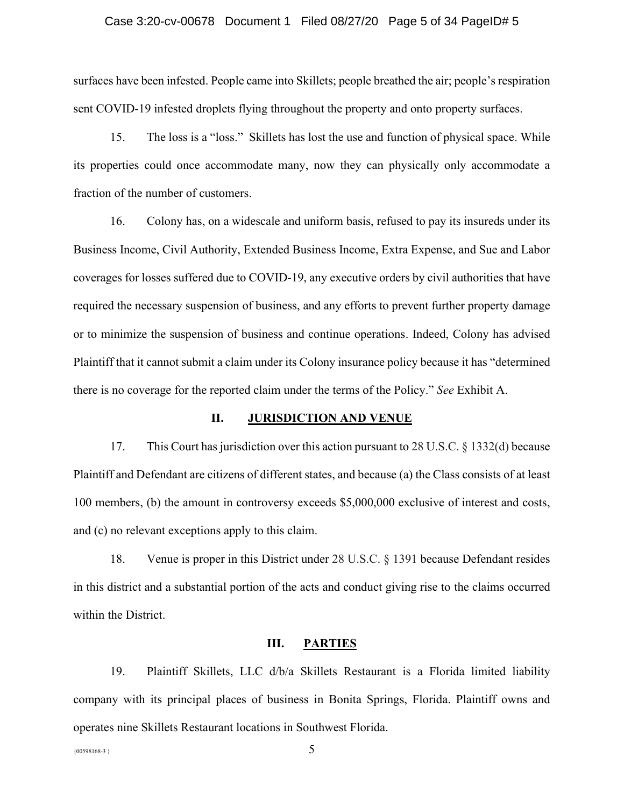#### Case 3:20-cv-00678 Document 1 Filed 08/27/20 Page 5 of 34 PageID# 5

surfaces have been infested. People came into Skillets; people breathed the air; people's respiration sent COVID-19 infested droplets flying throughout the property and onto property surfaces.

15. The loss is a "loss." Skillets has lost the use and function of physical space. While its properties could once accommodate many, now they can physically only accommodate a fraction of the number of customers.

16. Colony has, on a widescale and uniform basis, refused to pay its insureds under its Business Income, Civil Authority, Extended Business Income, Extra Expense, and Sue and Labor coverages for losses suffered due to COVID-19, any executive orders by civil authorities that have required the necessary suspension of business, and any efforts to prevent further property damage or to minimize the suspension of business and continue operations. Indeed, Colony has advised Plaintiff that it cannot submit a claim under its Colony insurance policy because it has "determined" there is no coverage for the reported claim under the terms of the Policy.´ *See* Exhibit A.

#### **II. JURISDICTION AND VENUE**

17. This Court has jurisdiction over this action pursuant to 28 U.S.C. § 1332(d) because Plaintiff and Defendant are citizens of different states, and because (a) the Class consists of at least 100 members, (b) the amount in controversy exceeds \$5,000,000 exclusive of interest and costs, and (c) no relevant exceptions apply to this claim.

18. Venue is proper in this District under 28 U.S.C. § 1391 because Defendant resides in this district and a substantial portion of the acts and conduct giving rise to the claims occurred within the District.

#### **III. PARTIES**

19. Plaintiff Skillets, LLC d/b/a Skillets Restaurant is a Florida limited liability company with its principal places of business in Bonita Springs, Florida. Plaintiff owns and operates nine Skillets Restaurant locations in Southwest Florida.

{00598168-3 } 5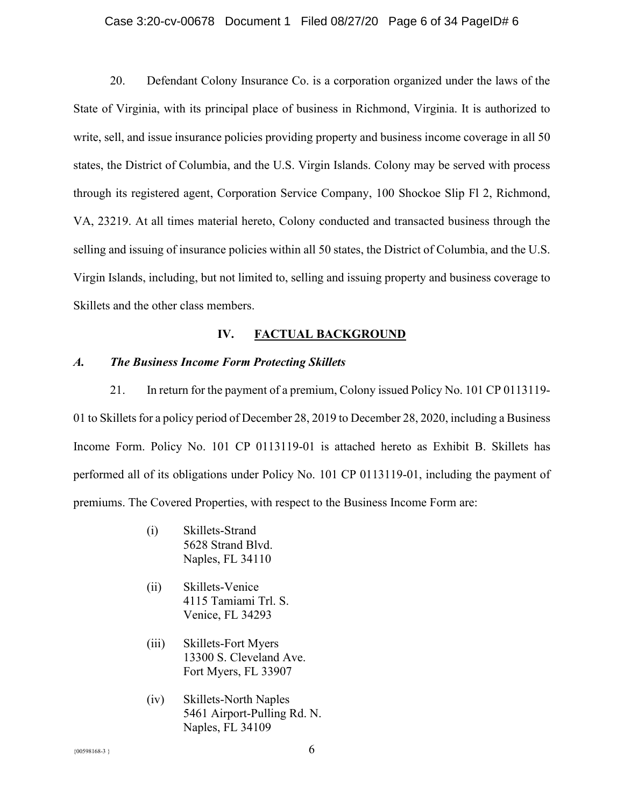#### Case 3:20-cv-00678 Document 1 Filed 08/27/20 Page 6 of 34 PageID# 6

20. Defendant Colony Insurance Co. is a corporation organized under the laws of the State of Virginia, with its principal place of business in Richmond, Virginia. It is authorized to write, sell, and issue insurance policies providing property and business income coverage in all 50 states, the District of Columbia, and the U.S. Virgin Islands. Colony may be served with process through its registered agent, Corporation Service Company, 100 Shockoe Slip Fl 2, Richmond, VA, 23219. At all times material hereto, Colony conducted and transacted business through the selling and issuing of insurance policies within all 50 states, the District of Columbia, and the U.S. Virgin Islands, including, but not limited to, selling and issuing property and business coverage to Skillets and the other class members.

## **IV. FACTUAL BACKGROUND**

#### *A. The Business Income Form Protecting Skillets*

21. In return for the payment of a premium, Colony issued Policy No. 101 CP 0113119- 01 to Skilletsfor a policy period of December 28, 2019 to December 28, 2020, including a Business Income Form. Policy No. 101 CP 0113119-01 is attached hereto as Exhibit B. Skillets has performed all of its obligations under Policy No. 101 CP 0113119-01, including the payment of premiums. The Covered Properties, with respect to the Business Income Form are:

- (i) Skillets-Strand 5628 Strand Blvd. Naples, FL 34110
- (ii) Skillets-Venice 4115 Tamiami Trl. S. Venice, FL 34293
- (iii) Skillets-Fort Myers 13300 S. Cleveland Ave. Fort Myers, FL 33907
- (iv) Skillets-North Naples 5461 Airport-Pulling Rd. N. Naples, FL 34109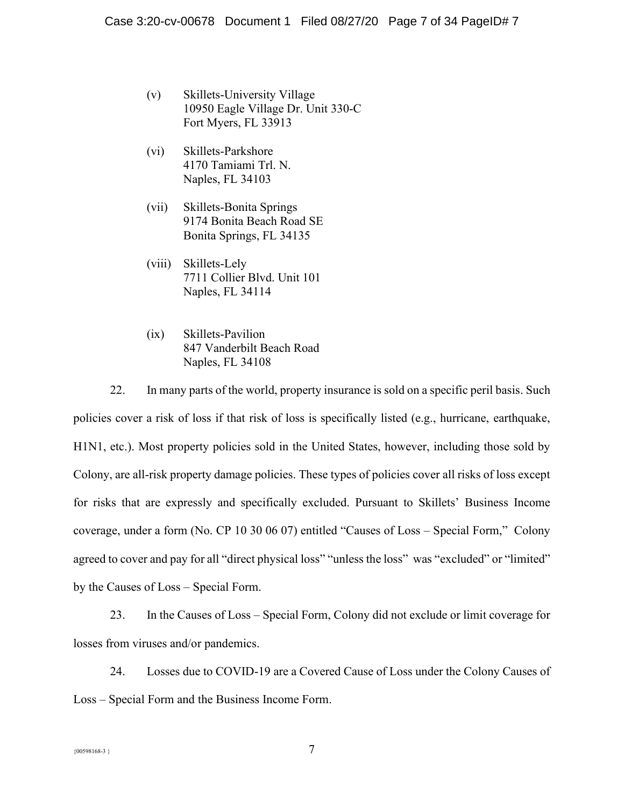- (v) Skillets-University Village 10950 Eagle Village Dr. Unit 330-C Fort Myers, FL 33913
- (vi) Skillets-Parkshore 4170 Tamiami Trl. N. Naples, FL 34103
- (vii) Skillets-Bonita Springs 9174 Bonita Beach Road SE Bonita Springs, FL 34135
- (viii) Skillets-Lely 7711 Collier Blvd. Unit 101 Naples, FL 34114
- (ix) Skillets-Pavilion 847 Vanderbilt Beach Road Naples, FL 34108

22. In many parts of the world, property insurance is sold on a specific peril basis. Such policies cover a risk of loss if that risk of loss is specifically listed (e.g., hurricane, earthquake, H1N1, etc.). Most property policies sold in the United States, however, including those sold by Colony, are all-risk property damage policies. These types of policies cover all risks of loss except for risks that are expressly and specifically excluded. Pursuant to Skillets' Business Income coverage, under a form (No. CP 10 30 06 07) entitled "Causes of Loss  $-$  Special Form," Colony agreed to cover and pay for all "direct physical loss" "unless the loss" was "excluded" or "limited" by the Causes of Loss – Special Form.

23. In the Causes of Loss – Special Form, Colony did not exclude or limit coverage for losses from viruses and/or pandemics.

24. Losses due to COVID-19 are a Covered Cause of Loss under the Colony Causes of Loss – Special Form and the Business Income Form.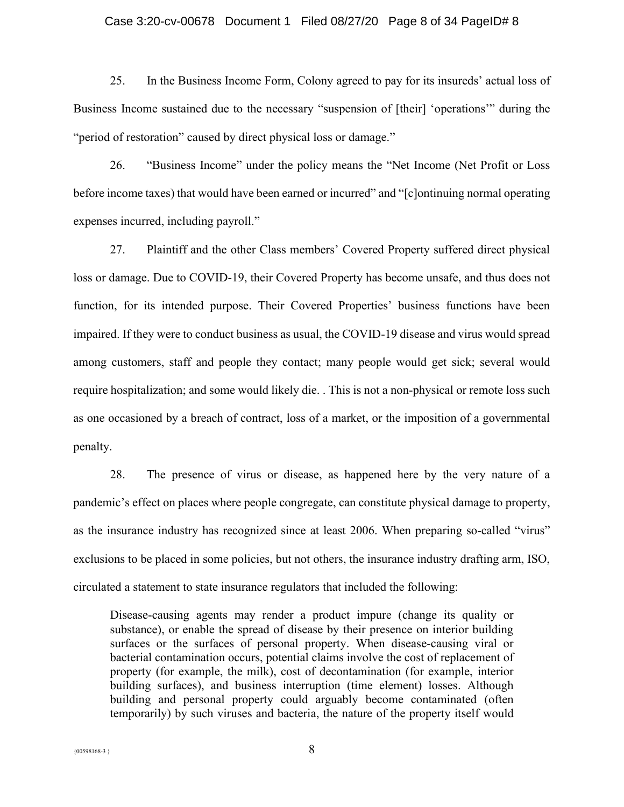#### Case 3:20-cv-00678 Document 1 Filed 08/27/20 Page 8 of 34 PageID# 8

25. In the Business Income Form, Colony agreed to pay for its insureds' actual loss of Business Income sustained due to the necessary "suspension of [their] 'operations'" during the " period of restoration" caused by direct physical loss or damage."

26. **Business Income**" under the policy means the "Net Income (Net Profit or Loss) before income taxes) that would have been earned or incurred" and "[c]ontinuing normal operating expenses incurred, including payroll."

27. Plaintiff and the other Class members' Covered Property suffered direct physical loss or damage. Due to COVID-19, their Covered Property has become unsafe, and thus does not function, for its intended purpose. Their Covered Properties' business functions have been impaired. If they were to conduct business as usual, the COVID-19 disease and virus would spread among customers, staff and people they contact; many people would get sick; several would require hospitalization; and some would likely die. . This is not a non-physical or remote loss such as one occasioned by a breach of contract, loss of a market, or the imposition of a governmental penalty.

28. The presence of virus or disease, as happened here by the very nature of a pandemic's effect on places where people congregate, can constitute physical damage to property, as the insurance industry has recognized since at least 2006. When preparing so-called "virus" exclusions to be placed in some policies, but not others, the insurance industry drafting arm, ISO, circulated a statement to state insurance regulators that included the following:

Disease-causing agents may render a product impure (change its quality or substance), or enable the spread of disease by their presence on interior building surfaces or the surfaces of personal property. When disease-causing viral or bacterial contamination occurs, potential claims involve the cost of replacement of property (for example, the milk), cost of decontamination (for example, interior building surfaces), and business interruption (time element) losses. Although building and personal property could arguably become contaminated (often temporarily) by such viruses and bacteria, the nature of the property itself would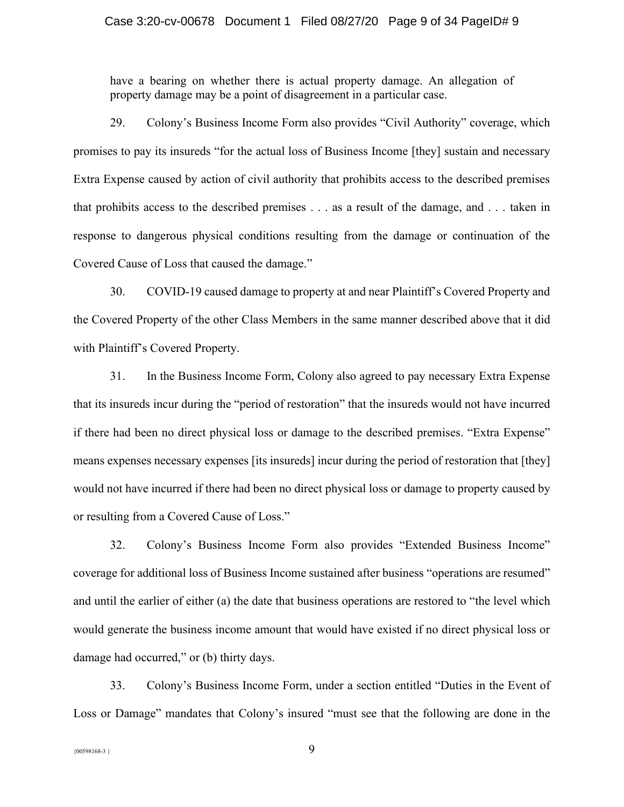#### Case 3:20-cv-00678 Document 1 Filed 08/27/20 Page 9 of 34 PageID# 9

have a bearing on whether there is actual property damage. An allegation of property damage may be a point of disagreement in a particular case.

29. Colony's Business Income Form also provides "Civil Authority" coverage, which promises to pay its insureds "for the actual loss of Business Income [they] sustain and necessary Extra Expense caused by action of civil authority that prohibits access to the described premises that prohibits access to the described premises . . . as a result of the damage, and . . . taken in response to dangerous physical conditions resulting from the damage or continuation of the Covered Cause of Loss that caused the damage.´

30. COVID-19 caused damage to property at and near Plaintiff's Covered Property and the Covered Property of the other Class Members in the same manner described above that it did with Plaintiff's Covered Property.

31. In the Business Income Form, Colony also agreed to pay necessary Extra Expense that its insureds incur during the "period of restoration" that the insureds would not have incurred if there had been no direct physical loss or damage to the described premises. "Extra Expense" means expenses necessary expenses [its insureds] incur during the period of restoration that [they] would not have incurred if there had been no direct physical loss or damage to property caused by or resulting from a Covered Cause of Loss.´

32. Colony's Business Income Form also provides "Extended Business Income" coverage for additional loss of Business Income sustained after business "operations are resumed" and until the earlier of either (a) the date that business operations are restored to "the level which would generate the business income amount that would have existed if no direct physical loss or damage had occurred," or (b) thirty days.

33. Colony's Business Income Form, under a section entitled "Duties in the Event of Loss or Damage" mandates that Colony's insured "must see that the following are done in the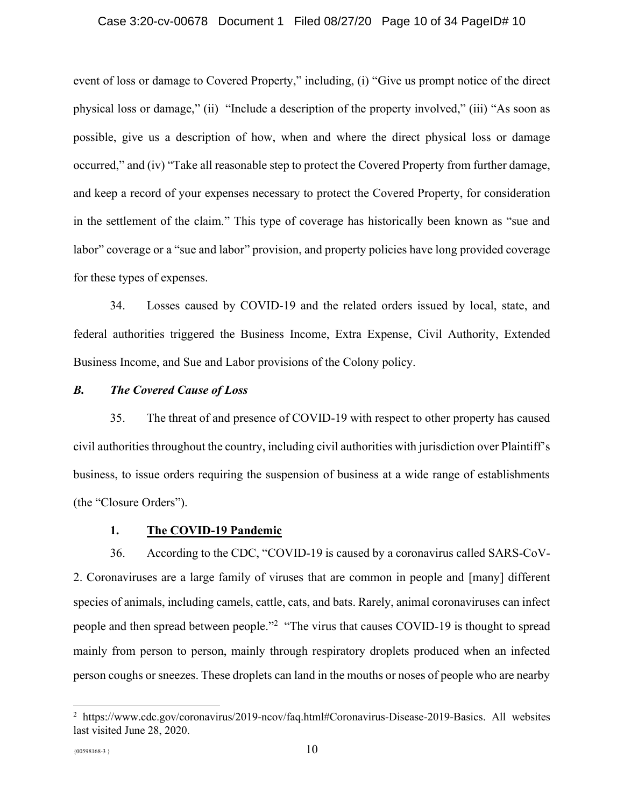#### Case 3:20-cv-00678 Document 1 Filed 08/27/20 Page 10 of 34 PageID# 10

event of loss or damage to Covered Property," including, (i) "Give us prompt notice of the direct physical loss or damage," (ii) "Include a description of the property involved," (iii) "As soon as possible, give us a description of how, when and where the direct physical loss or damage occurred," and (iv) "Take all reasonable step to protect the Covered Property from further damage, and keep a record of your expenses necessary to protect the Covered Property, for consideration in the settlement of the claim." This type of coverage has historically been known as "sue and labor" coverage or a "sue and labor" provision, and property policies have long provided coverage for these types of expenses.

34. Losses caused by COVID-19 and the related orders issued by local, state, and federal authorities triggered the Business Income, Extra Expense, Civil Authority, Extended Business Income, and Sue and Labor provisions of the Colony policy.

## *B. The Covered Cause of Loss*

35. The threat of and presence of COVID-19 with respect to other property has caused civil authorities throughout the country, including civil authorities with jurisdiction over Plaintiff's business, to issue orders requiring the suspension of business at a wide range of establishments (the "Closure Orders").

#### **1. The COVID-19 Pandemic**

36. According to the CDC, "COVID-19 is caused by a coronavirus called SARS-CoV-2. Coronaviruses are a large family of viruses that are common in people and [many] different species of animals, including camels, cattle, cats, and bats. Rarely, animal coronaviruses can infect people and then spread between people.<sup> $2$ </sup> "The virus that causes COVID-19 is thought to spread mainly from person to person, mainly through respiratory droplets produced when an infected person coughs or sneezes. These droplets can land in the mouths or noses of people who are nearby

<sup>&</sup>lt;sup>2</sup> https://www.cdc.gov/coronavirus/2019-ncov/faq.html#Coronavirus-Disease-2019-Basics. All websites last visited June 28, 2020.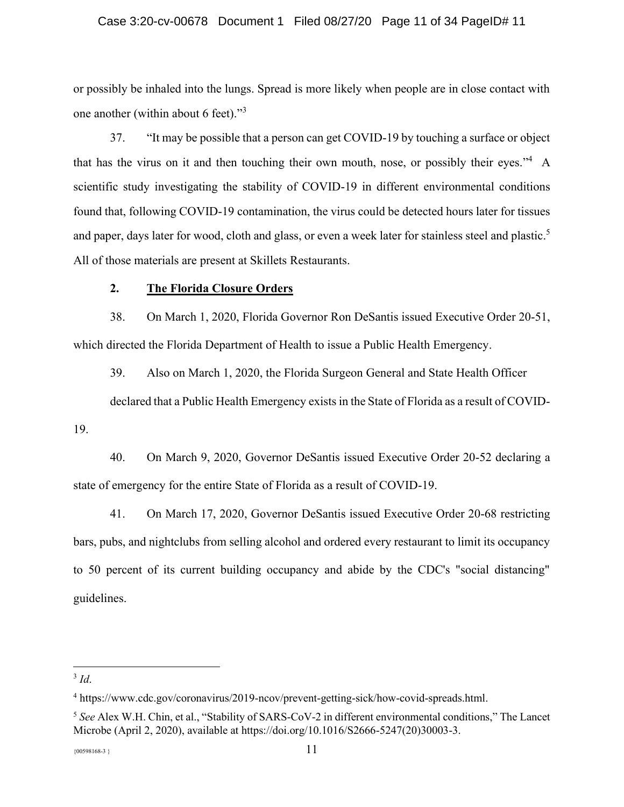#### Case 3:20-cv-00678 Document 1 Filed 08/27/20 Page 11 of 34 PageID# 11

or possibly be inhaled into the lungs. Spread is more likely when people are in close contact with one another (within about 6 feet). $\frac{3}{3}$ 

37. "It may be possible that a person can get COVID-19 by touching a surface or object that has the virus on it and then touching their own mouth, nose, or possibly their eyes.<sup>34</sup> A scientific study investigating the stability of COVID-19 in different environmental conditions found that, following COVID-19 contamination, the virus could be detected hours later for tissues and paper, days later for wood, cloth and glass, or even a week later for stainless steel and plastic.<sup>5</sup> All of those materials are present at Skillets Restaurants.

## **2. The Florida Closure Orders**

38. On March 1, 2020, Florida Governor Ron DeSantis issued Executive Order 20-51, which directed the Florida Department of Health to issue a Public Health Emergency.

39. Also on March 1, 2020, the Florida Surgeon General and State Health Officer declared that a Public Health Emergency exists in the State of Florida as a result of COVID-

19.

40. On March 9, 2020, Governor DeSantis issued Executive Order 20-52 declaring a state of emergency for the entire State of Florida as a result of COVID-19.

41. On March 17, 2020, Governor DeSantis issued Executive Order 20-68 restricting bars, pubs, and nightclubs from selling alcohol and ordered every restaurant to limit its occupancy to 50 percent of its current building occupancy and abide by the CDC's "social distancing" guidelines.

<sup>3</sup> *Id*.

<sup>4</sup> https://www.cdc.gov/coronavirus/2019-ncov/prevent-getting-sick/how-covid-spreads.html.

<sup>&</sup>lt;sup>5</sup> See Alex W.H. Chin, et al., "Stability of SARS-CoV-2 in different environmental conditions," The Lancet Microbe (April 2, 2020), available at https://doi.org/10.1016/S2666-5247(20)30003-3.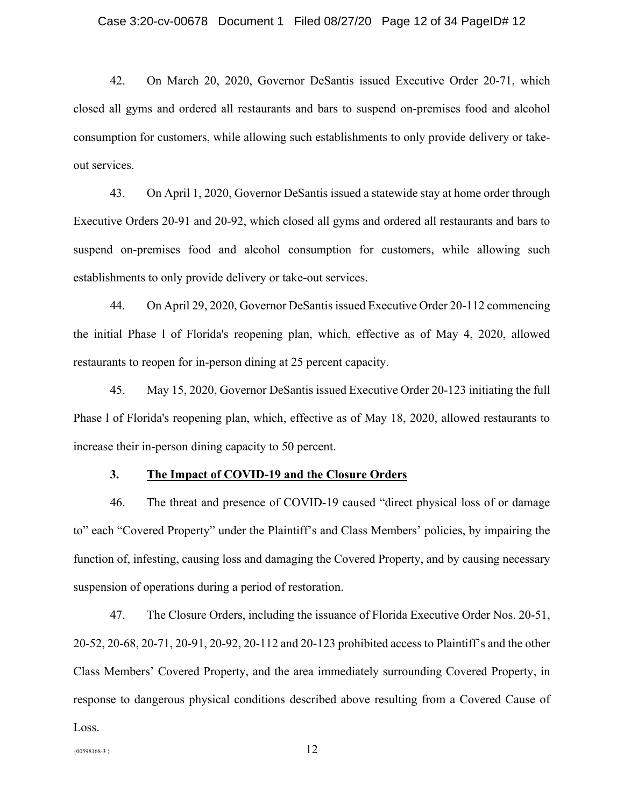42. On March 20, 2020, Governor DeSantis issued Executive Order 20-71, which closed all gyms and ordered all restaurants and bars to suspend on-premises food and alcohol consumption for customers, while allowing such establishments to only provide delivery or takeout services.

43. On April 1, 2020, Governor DeSantis issued a statewide stay at home order through Executive Orders 20-91 and 20-92, which closed all gyms and ordered all restaurants and bars to suspend on-premises food and alcohol consumption for customers, while allowing such establishments to only provide delivery or take-out services.

44. On April 29, 2020, Governor DeSantis issued Executive Order 20-112 commencing the initial Phase l of Florida's reopening plan, which, effective as of May 4, 2020, allowed restaurants to reopen for in-person dining at 25 percent capacity.

45. May 15, 2020, Governor DeSantis issued Executive Order 20-123 initiating the full Phase l of Florida's reopening plan, which, effective as of May 18, 2020, allowed restaurants to increase their in-person dining capacity to 50 percent.

### **3. The Impact of COVID-19 and the Closure Orders**

46. The threat and presence of COVID-19 caused "direct physical loss of or damage to" each "Covered Property" under the Plaintiff's and Class Members' policies, by impairing the function of, infesting, causing loss and damaging the Covered Property, and by causing necessary suspension of operations during a period of restoration.

47. The Closure Orders, including the issuance of Florida Executive Order Nos. 20-51, 20-52, 20-68, 20-71, 20-91, 20-92, 20-112 and 20-123 prohibited access to Plaintiff's and the other Class Members' Covered Property, and the area immediately surrounding Covered Property, in response to dangerous physical conditions described above resulting from a Covered Cause of Loss.

```
{12}
```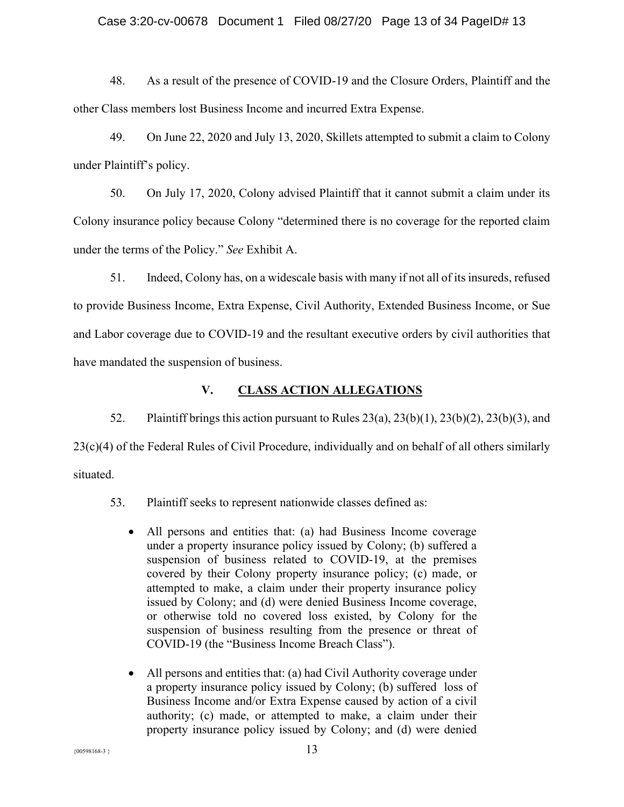#### Case 3:20-cv-00678 Document 1 Filed 08/27/20 Page 13 of 34 PageID# 13

48. As a result of the presence of COVID-19 and the Closure Orders, Plaintiff and the other Class members lost Business Income and incurred Extra Expense.

49. On June 22, 2020 and July 13, 2020, Skillets attempted to submit a claim to Colony under Plaintiff's policy.

50. On July 17, 2020, Colony advised Plaintiff that it cannot submit a claim under its Colony insurance policy because Colony "determined there is no coverage for the reported claim under the terms of the Policy.´ *See* Exhibit A.

51. Indeed, Colony has, on a widescale basis with many if not all of its insureds, refused to provide Business Income, Extra Expense, Civil Authority, Extended Business Income, or Sue and Labor coverage due to COVID-19 and the resultant executive orders by civil authorities that have mandated the suspension of business.

## **V. CLASS ACTION ALLEGATIONS**

52. Plaintiff brings this action pursuant to Rules 23(a), 23(b)(1), 23(b)(2), 23(b)(3), and 23(c)(4) of the Federal Rules of Civil Procedure, individually and on behalf of all others similarly situated.

53. Plaintiff seeks to represent nationwide classes defined as:

- All persons and entities that: (a) had Business Income coverage under a property insurance policy issued by Colony; (b) suffered a suspension of business related to COVID-19, at the premises covered by their Colony property insurance policy; (c) made, or attempted to make, a claim under their property insurance policy issued by Colony; and (d) were denied Business Income coverage, or otherwise told no covered loss existed, by Colony for the suspension of business resulting from the presence or threat of COVID-19 (the "Business Income Breach Class").
- $\bullet$  All persons and entities that: (a) had Civil Authority coverage under a property insurance policy issued by Colony; (b) suffered loss of Business Income and/or Extra Expense caused by action of a civil authority; (c) made, or attempted to make, a claim under their property insurance policy issued by Colony; and (d) were denied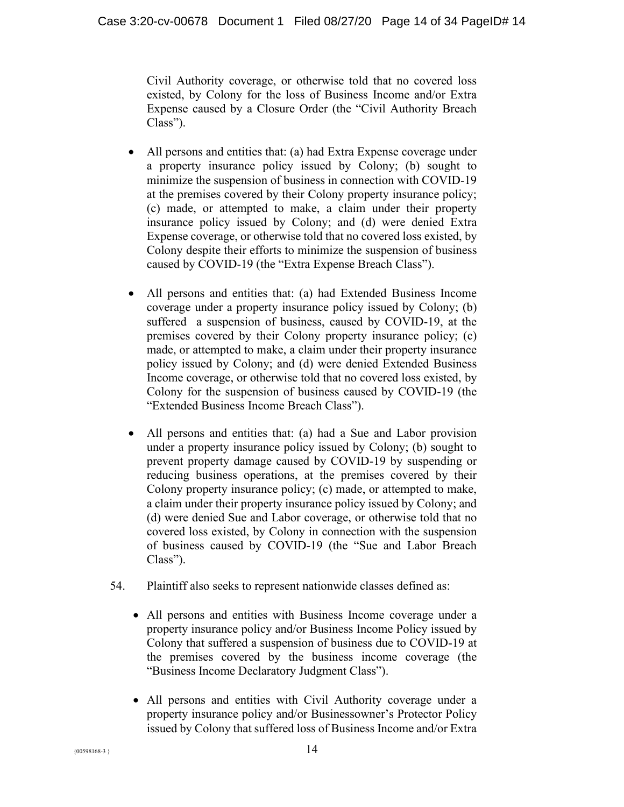Civil Authority coverage, or otherwise told that no covered loss existed, by Colony for the loss of Business Income and/or Extra Expense caused by a Closure Order (the "Civil Authority Breach  $Class$ ").

- $\bullet$  All persons and entities that: (a) had Extra Expense coverage under a property insurance policy issued by Colony; (b) sought to minimize the suspension of business in connection with COVID-19 at the premises covered by their Colony property insurance policy; (c) made, or attempted to make, a claim under their property insurance policy issued by Colony; and (d) were denied Extra Expense coverage, or otherwise told that no covered loss existed, by Colony despite their efforts to minimize the suspension of business caused by COVID-19 (the "Extra Expense Breach Class").
- All persons and entities that: (a) had Extended Business Income coverage under a property insurance policy issued by Colony; (b) suffered a suspension of business, caused by COVID-19, at the premises covered by their Colony property insurance policy; (c) made, or attempted to make, a claim under their property insurance policy issued by Colony; and (d) were denied Extended Business Income coverage, or otherwise told that no covered loss existed, by Colony for the suspension of business caused by COVID-19 (the "Extended Business Income Breach Class").
- All persons and entities that: (a) had a Sue and Labor provision under a property insurance policy issued by Colony; (b) sought to prevent property damage caused by COVID-19 by suspending or reducing business operations, at the premises covered by their Colony property insurance policy; (c) made, or attempted to make, a claim under their property insurance policy issued by Colony; and (d) were denied Sue and Labor coverage, or otherwise told that no covered loss existed, by Colony in connection with the suspension of business caused by COVID-19 (the "Sue and Labor Breach  $Class$ ").
- 54. Plaintiff also seeks to represent nationwide classes defined as:
	- All persons and entities with Business Income coverage under a property insurance policy and/or Business Income Policy issued by Colony that suffered a suspension of business due to COVID-19 at the premises covered by the business income coverage (the "Business Income Declaratory Judgment Class").
	- All persons and entities with Civil Authority coverage under a property insurance policy and/or Businessowner's Protector Policy issued by Colony that suffered loss of Business Income and/or Extra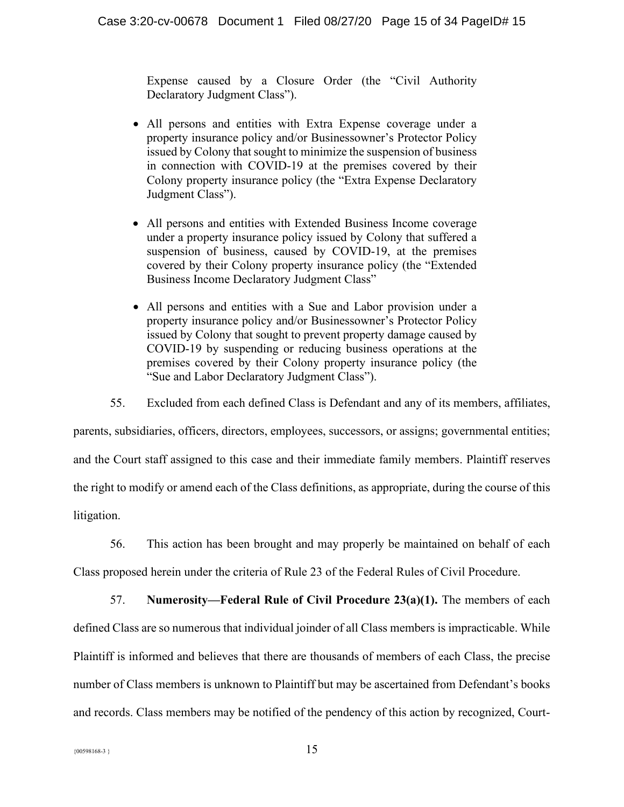Expense caused by a Closure Order (the "Civil Authority Declaratory Judgment Class").

- All persons and entities with Extra Expense coverage under a property insurance policy and/or Businessowner's Protector Policy issued by Colony that sought to minimize the suspension of business in connection with COVID-19 at the premises covered by their Colony property insurance policy (the "Extra Expense Declaratory Judgment Class").
- All persons and entities with Extended Business Income coverage under a property insurance policy issued by Colony that suffered a suspension of business, caused by COVID-19, at the premises covered by their Colony property insurance policy (the "Extended" Business Income Declaratory Judgment Class"
- All persons and entities with a Sue and Labor provision under a property insurance policy and/or Businessowner's Protector Policy issued by Colony that sought to prevent property damage caused by COVID-19 by suspending or reducing business operations at the premises covered by their Colony property insurance policy (the "Sue and Labor Declaratory Judgment Class").
- 55. Excluded from each defined Class is Defendant and any of its members, affiliates,

parents, subsidiaries, officers, directors, employees, successors, or assigns; governmental entities; and the Court staff assigned to this case and their immediate family members. Plaintiff reserves the right to modify or amend each of the Class definitions, as appropriate, during the course of this litigation.

56. This action has been brought and may properly be maintained on behalf of each

Class proposed herein under the criteria of Rule 23 of the Federal Rules of Civil Procedure.

57. **Numerosity—Federal Rule of Civil Procedure 23(a)(1).** The members of each defined Class are so numerous that individual joinder of all Class members is impracticable. While Plaintiff is informed and believes that there are thousands of members of each Class, the precise number of Class members is unknown to Plaintiff but may be ascertained from Defendant's books and records. Class members may be notified of the pendency of this action by recognized, Court-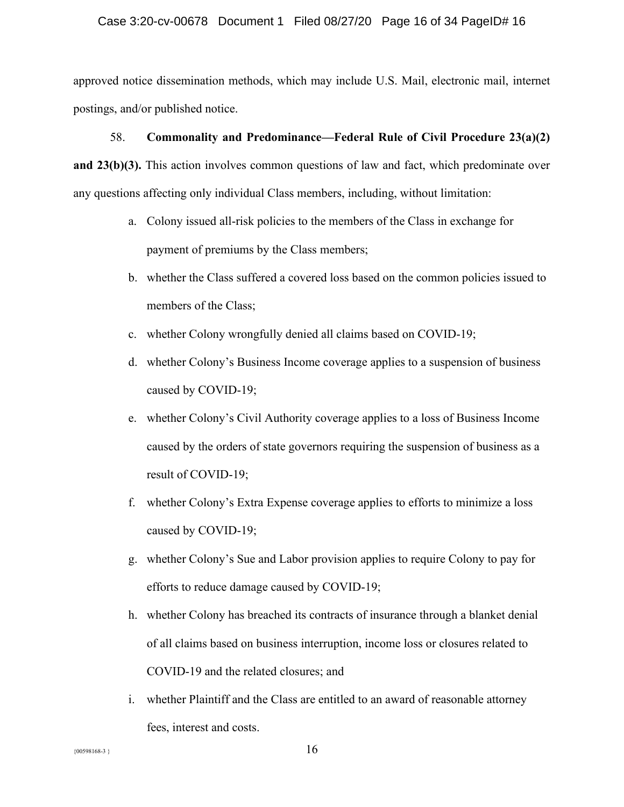#### Case 3:20-cv-00678 Document 1 Filed 08/27/20 Page 16 of 34 PageID# 16

approved notice dissemination methods, which may include U.S. Mail, electronic mail, internet postings, and/or published notice.

# 58. **Commonality and Predominance²Federal Rule of Civil Procedure 23(a)(2) and 23(b)(3).** This action involves common questions of law and fact, which predominate over any questions affecting only individual Class members, including, without limitation:

- a. Colony issued all-risk policies to the members of the Class in exchange for payment of premiums by the Class members;
- b. whether the Class suffered a covered loss based on the common policies issued to members of the Class;
- c. whether Colony wrongfully denied all claims based on COVID-19;
- d. whether Colony's Business Income coverage applies to a suspension of business caused by COVID-19;
- e. whether Colony's Civil Authority coverage applies to a loss of Business Income caused by the orders of state governors requiring the suspension of business as a result of COVID-19;
- f. whether Colony's Extra Expense coverage applies to efforts to minimize a loss caused by COVID-19;
- g. whether Colony's Sue and Labor provision applies to require Colony to pay for efforts to reduce damage caused by COVID-19;
- h. whether Colony has breached its contracts of insurance through a blanket denial of all claims based on business interruption, income loss or closures related to COVID-19 and the related closures; and
- i. whether Plaintiff and the Class are entitled to an award of reasonable attorney fees, interest and costs.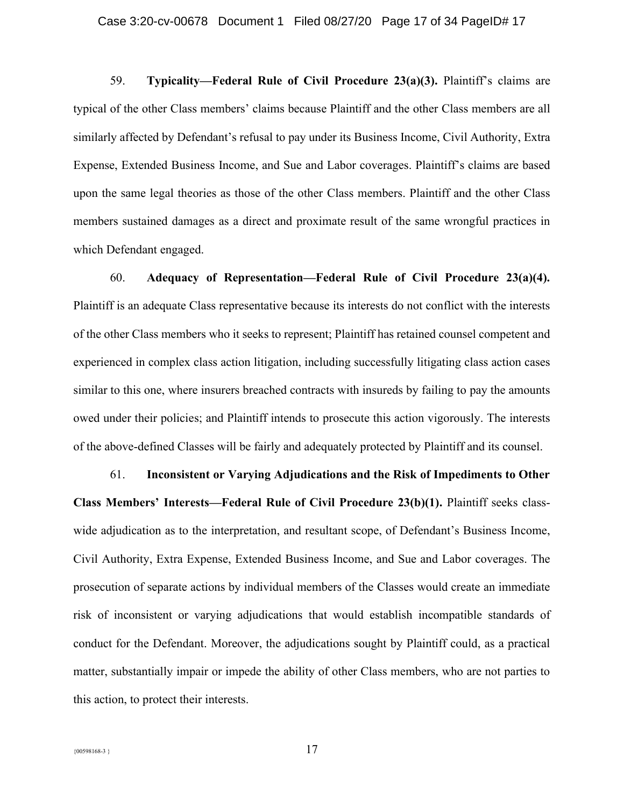59. **Typicality—Federal Rule of Civil Procedure 23(a)(3).** Plaintiff's claims are typical of the other Class members' claims because Plaintiff and the other Class members are all similarly affected by Defendant's refusal to pay under its Business Income, Civil Authority, Extra Expense, Extended Business Income, and Sue and Labor coverages. Plaintiff's claims are based upon the same legal theories as those of the other Class members. Plaintiff and the other Class members sustained damages as a direct and proximate result of the same wrongful practices in which Defendant engaged.

60. **Adequacy of Representation²Federal Rule of Civil Procedure 23(a)(4).** Plaintiff is an adequate Class representative because its interests do not conflict with the interests of the other Class members who it seeks to represent; Plaintiff has retained counsel competent and experienced in complex class action litigation, including successfully litigating class action cases similar to this one, where insurers breached contracts with insureds by failing to pay the amounts owed under their policies; and Plaintiff intends to prosecute this action vigorously. The interests of the above-defined Classes will be fairly and adequately protected by Plaintiff and its counsel.

61. **Inconsistent or Varying Adjudications and the Risk of Impediments to Other Class Members' Interests—Federal Rule of Civil Procedure 23(b)(1). Plaintiff seeks class**wide adjudication as to the interpretation, and resultant scope, of Defendant's Business Income, Civil Authority, Extra Expense, Extended Business Income, and Sue and Labor coverages. The prosecution of separate actions by individual members of the Classes would create an immediate risk of inconsistent or varying adjudications that would establish incompatible standards of conduct for the Defendant. Moreover, the adjudications sought by Plaintiff could, as a practical matter, substantially impair or impede the ability of other Class members, who are not parties to this action, to protect their interests.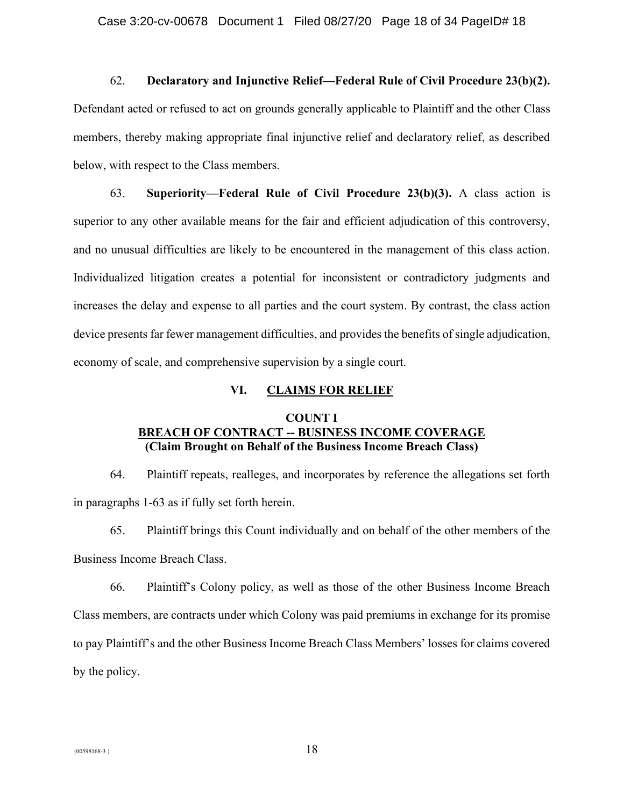## 62. **Declaratory and Injunctive Relief²Federal Rule of Civil Procedure 23(b)(2).**

Defendant acted or refused to act on grounds generally applicable to Plaintiff and the other Class members, thereby making appropriate final injunctive relief and declaratory relief, as described below, with respect to the Class members.

63. **Superiority²Federal Rule of Civil Procedure 23(b)(3).** A class action is superior to any other available means for the fair and efficient adjudication of this controversy, and no unusual difficulties are likely to be encountered in the management of this class action. Individualized litigation creates a potential for inconsistent or contradictory judgments and increases the delay and expense to all parties and the court system. By contrast, the class action device presents far fewer management difficulties, and provides the benefits of single adjudication, economy of scale, and comprehensive supervision by a single court.

#### **VI. CLAIMS FOR RELIEF**

## **COUNT I BREACH OF CONTRACT -- BUSINESS INCOME COVERAGE (Claim Brought on Behalf of the Business Income Breach Class)**

64. Plaintiff repeats, realleges, and incorporates by reference the allegations set forth in paragraphs 1-63 as if fully set forth herein.

65. Plaintiff brings this Count individually and on behalf of the other members of the Business Income Breach Class.

66. Plaintiff's Colony policy, as well as those of the other Business Income Breach Class members, are contracts under which Colony was paid premiums in exchange for its promise to pay Plaintiff's and the other Business Income Breach Class Members' losses for claims covered by the policy.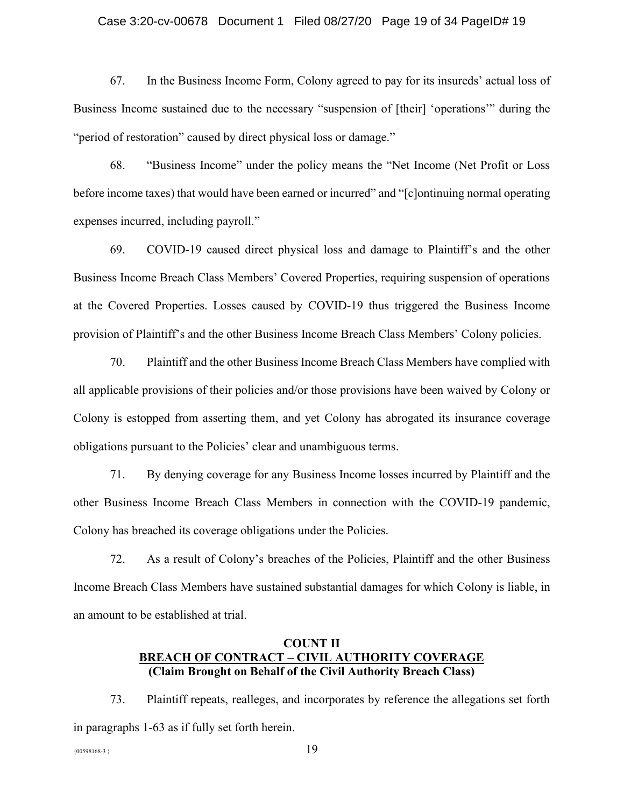#### Case 3:20-cv-00678 Document 1 Filed 08/27/20 Page 19 of 34 PageID# 19

67. In the Business Income Form, Colony agreed to pay for its insureds' actual loss of Business Income sustained due to the necessary "suspension of [their] 'operations'" during the " period of restoration" caused by direct physical loss or damage."

68. **Business Income**" under the policy means the "Net Income (Net Profit or Loss before income taxes) that would have been earned or incurred" and "[c]ontinuing normal operating expenses incurred, including payroll."

69. COVID-19 caused direct physical loss and damage to Plaintiff's and the other Business Income Breach Class Members' Covered Properties, requiring suspension of operations at the Covered Properties. Losses caused by COVID-19 thus triggered the Business Income provision of Plaintiff's and the other Business Income Breach Class Members' Colony policies.

70. Plaintiff and the other Business Income Breach Class Members have complied with all applicable provisions of their policies and/or those provisions have been waived by Colony or Colony is estopped from asserting them, and yet Colony has abrogated its insurance coverage obligations pursuant to the Policies' clear and unambiguous terms.

71. By denying coverage for any Business Income losses incurred by Plaintiff and the other Business Income Breach Class Members in connection with the COVID-19 pandemic, Colony has breached its coverage obligations under the Policies.

72. As a result of Colony's breaches of the Policies, Plaintiff and the other Business Income Breach Class Members have sustained substantial damages for which Colony is liable, in an amount to be established at trial.

## **COUNT II BREACH OF CONTRACT ± CIVIL AUTHORITY COVERAGE (Claim Brought on Behalf of the Civil Authority Breach Class)**

73. Plaintiff repeats, realleges, and incorporates by reference the allegations set forth in paragraphs 1-63 as if fully set forth herein.

 ${19}$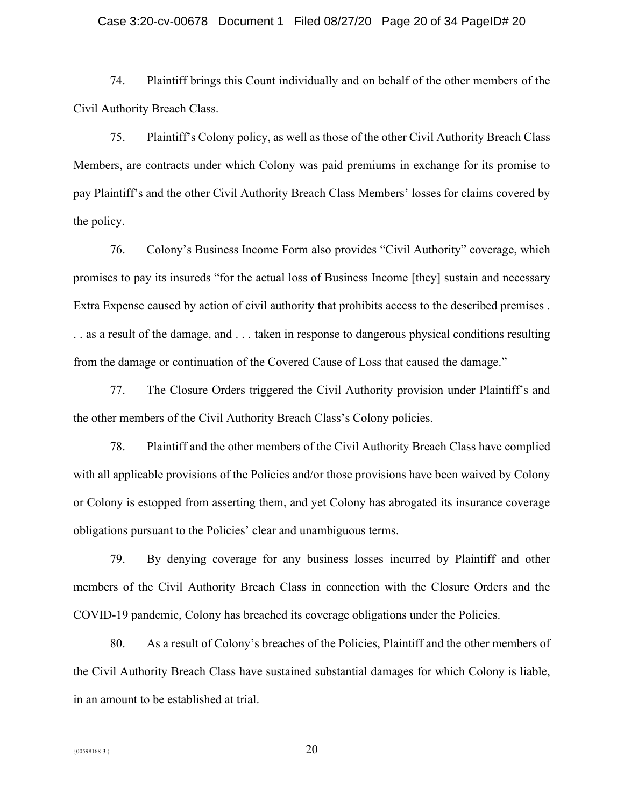#### Case 3:20-cv-00678 Document 1 Filed 08/27/20 Page 20 of 34 PageID# 20

74. Plaintiff brings this Count individually and on behalf of the other members of the Civil Authority Breach Class.

75. Plaintiff's Colony policy, as well as those of the other Civil Authority Breach Class Members, are contracts under which Colony was paid premiums in exchange for its promise to pay Plaintiff's and the other Civil Authority Breach Class Members' losses for claims covered by the policy.

76. Colony's Business Income Form also provides "Civil Authority" coverage, which promises to pay its insureds "for the actual loss of Business Income [they] sustain and necessary Extra Expense caused by action of civil authority that prohibits access to the described premises . . . as a result of the damage, and . . . taken in response to dangerous physical conditions resulting from the damage or continuation of the Covered Cause of Loss that caused the damage.´

77. The Closure Orders triggered the Civil Authority provision under Plaintiff's and the other members of the Civil Authority Breach Class's Colony policies.

78. Plaintiff and the other members of the Civil Authority Breach Class have complied with all applicable provisions of the Policies and/or those provisions have been waived by Colony or Colony is estopped from asserting them, and yet Colony has abrogated its insurance coverage obligations pursuant to the Policies' clear and unambiguous terms.

79. By denying coverage for any business losses incurred by Plaintiff and other members of the Civil Authority Breach Class in connection with the Closure Orders and the COVID-19 pandemic, Colony has breached its coverage obligations under the Policies.

80. As a result of Colony's breaches of the Policies, Plaintiff and the other members of the Civil Authority Breach Class have sustained substantial damages for which Colony is liable, in an amount to be established at trial.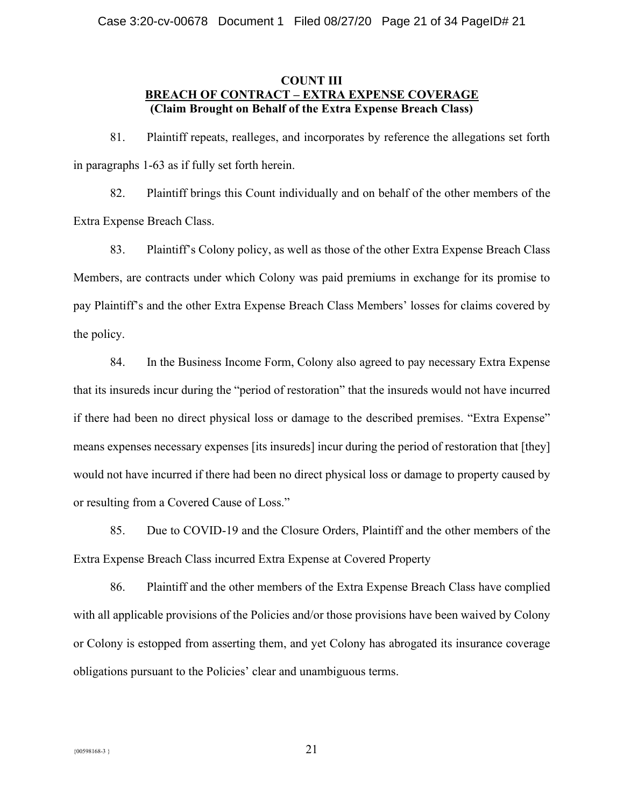## **COUNT III BREACH OF CONTRACT ± EXTRA EXPENSE COVERAGE (Claim Brought on Behalf of the Extra Expense Breach Class)**

81. Plaintiff repeats, realleges, and incorporates by reference the allegations set forth in paragraphs 1-63 as if fully set forth herein.

82. Plaintiff brings this Count individually and on behalf of the other members of the Extra Expense Breach Class.

83. Plaint if S Colony policy, as well as those of the other Extra Expense Breach Class Members, are contracts under which Colony was paid premiums in exchange for its promise to pay Plaintiff's and the other Extra Expense Breach Class Members' losses for claims covered by the policy.

84. In the Business Income Form, Colony also agreed to pay necessary Extra Expense that its insureds incur during the "period of restoration" that the insureds would not have incurred if there had been no direct physical loss or damage to the described premises. "Extra Expense" means expenses necessary expenses [its insureds] incur during the period of restoration that [they] would not have incurred if there had been no direct physical loss or damage to property caused by or resulting from a Covered Cause of Loss.´

85. Due to COVID-19 and the Closure Orders, Plaintiff and the other members of the Extra Expense Breach Class incurred Extra Expense at Covered Property

86. Plaintiff and the other members of the Extra Expense Breach Class have complied with all applicable provisions of the Policies and/or those provisions have been waived by Colony or Colony is estopped from asserting them, and yet Colony has abrogated its insurance coverage obligations pursuant to the Policies' clear and unambiguous terms.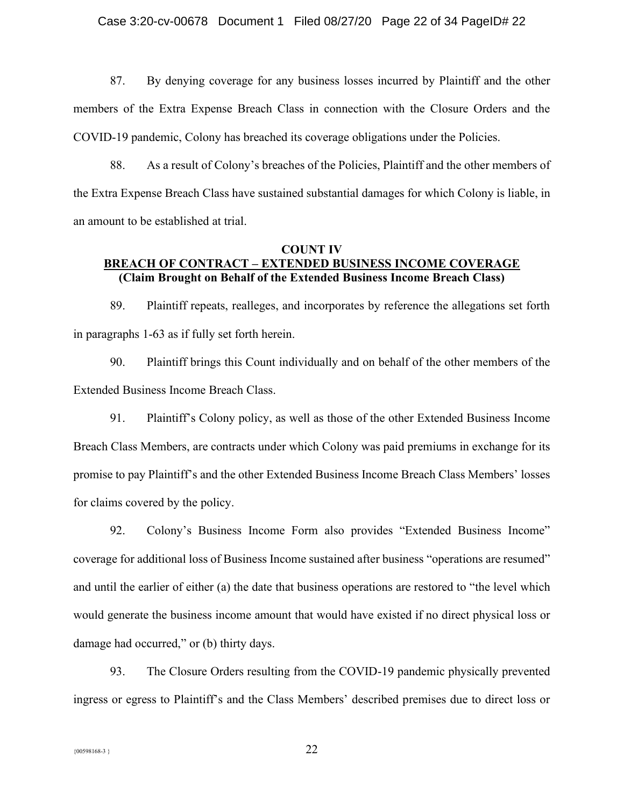87. By denying coverage for any business losses incurred by Plaintiff and the other members of the Extra Expense Breach Class in connection with the Closure Orders and the COVID-19 pandemic, Colony has breached its coverage obligations under the Policies.

88. As a result of Colony's breaches of the Policies, Plaintiff and the other members of the Extra Expense Breach Class have sustained substantial damages for which Colony is liable, in an amount to be established at trial.

## **COUNT IV BREACH OF CONTRACT ± EXTENDED BUSINESS INCOME COVERAGE (Claim Brought on Behalf of the Extended Business Income Breach Class)**

89. Plaintiff repeats, realleges, and incorporates by reference the allegations set forth in paragraphs 1-63 as if fully set forth herein.

90. Plaintiff brings this Count individually and on behalf of the other members of the Extended Business Income Breach Class.

91. Plaintiff's Colony policy, as well as those of the other Extended Business Income Breach Class Members, are contracts under which Colony was paid premiums in exchange for its promise to pay Plaintiff's and the other Extended Business Income Breach Class Members' losses for claims covered by the policy.

92. Colony's Business Income Form also provides "Extended Business Income" coverage for additional loss of Business Income sustained after business "operations are resumed" and until the earlier of either (a) the date that business operations are restored to "the level which would generate the business income amount that would have existed if no direct physical loss or damage had occurred," or (b) thirty days.

93. The Closure Orders resulting from the COVID-19 pandemic physically prevented ingress or egress to Plaintiff's and the Class Members' described premises due to direct loss or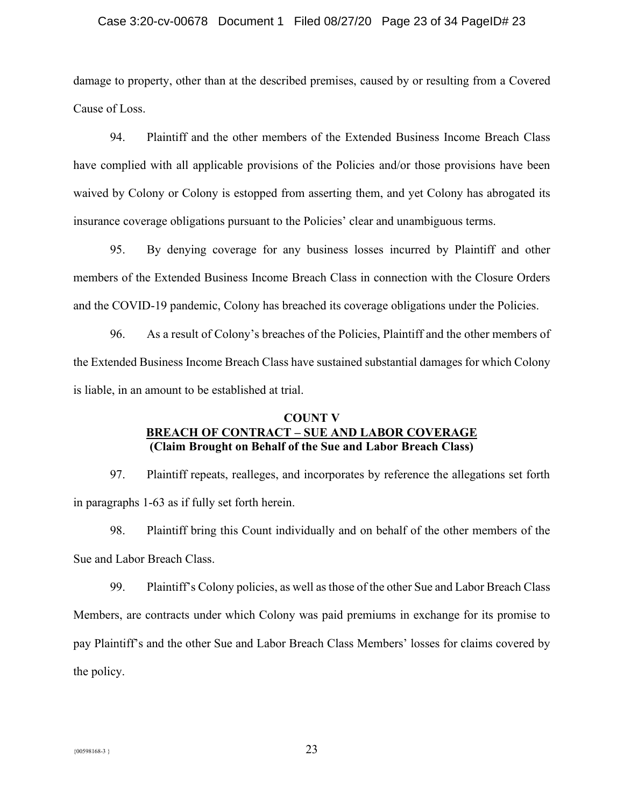#### Case 3:20-cv-00678 Document 1 Filed 08/27/20 Page 23 of 34 PageID# 23

damage to property, other than at the described premises, caused by or resulting from a Covered Cause of Loss.

94. Plaintiff and the other members of the Extended Business Income Breach Class have complied with all applicable provisions of the Policies and/or those provisions have been waived by Colony or Colony is estopped from asserting them, and yet Colony has abrogated its insurance coverage obligations pursuant to the Policies' clear and unambiguous terms.

95. By denying coverage for any business losses incurred by Plaintiff and other members of the Extended Business Income Breach Class in connection with the Closure Orders and the COVID-19 pandemic, Colony has breached its coverage obligations under the Policies.

96. As a result of Colony's breaches of the Policies, Plaintiff and the other members of the Extended Business Income Breach Class have sustained substantial damages for which Colony is liable, in an amount to be established at trial.

## **COUNT V BREACH OF CONTRACT ± SUE AND LABOR COVERAGE (Claim Brought on Behalf of the Sue and Labor Breach Class)**

97. Plaintiff repeats, realleges, and incorporates by reference the allegations set forth in paragraphs 1-63 as if fully set forth herein.

98. Plaintiff bring this Count individually and on behalf of the other members of the Sue and Labor Breach Class.

99. Plaintiff's Colony policies, as well as those of the other Sue and Labor Breach Class Members, are contracts under which Colony was paid premiums in exchange for its promise to pay Plaintiff's and the other Sue and Labor Breach Class Members' losses for claims covered by the policy.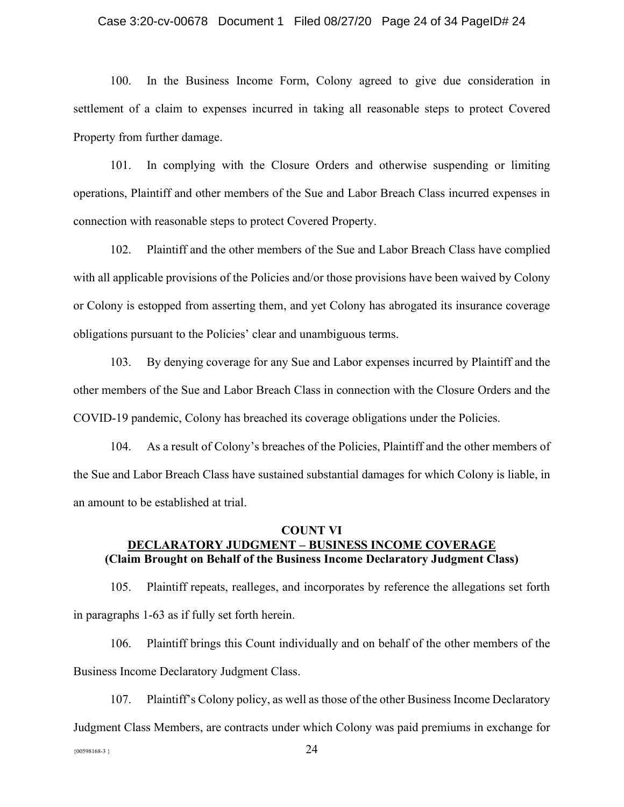#### Case 3:20-cv-00678 Document 1 Filed 08/27/20 Page 24 of 34 PageID# 24

100. In the Business Income Form, Colony agreed to give due consideration in settlement of a claim to expenses incurred in taking all reasonable steps to protect Covered Property from further damage.

101. In complying with the Closure Orders and otherwise suspending or limiting operations, Plaintiff and other members of the Sue and Labor Breach Class incurred expenses in connection with reasonable steps to protect Covered Property.

102. Plaintiff and the other members of the Sue and Labor Breach Class have complied with all applicable provisions of the Policies and/or those provisions have been waived by Colony or Colony is estopped from asserting them, and yet Colony has abrogated its insurance coverage obligations pursuant to the Policies' clear and unambiguous terms.

103. By denying coverage for any Sue and Labor expenses incurred by Plaintiff and the other members of the Sue and Labor Breach Class in connection with the Closure Orders and the COVID-19 pandemic, Colony has breached its coverage obligations under the Policies.

104. As a result of Colony's breaches of the Policies, Plaintiff and the other members of the Sue and Labor Breach Class have sustained substantial damages for which Colony is liable, in an amount to be established at trial.

## **COUNT VI DECLARATORY JUDGMENT ± BUSINESS INCOME COVERAGE (Claim Brought on Behalf of the Business Income Declaratory Judgment Class)**

105. Plaintiff repeats, realleges, and incorporates by reference the allegations set forth in paragraphs 1-63 as if fully set forth herein.

106. Plaintiff brings this Count individually and on behalf of the other members of the Business Income Declaratory Judgment Class.

107. Plaintiff's Colony policy, as well as those of the other Business Income Declaratory Judgment Class Members, are contracts under which Colony was paid premiums in exchange for

 ${24}$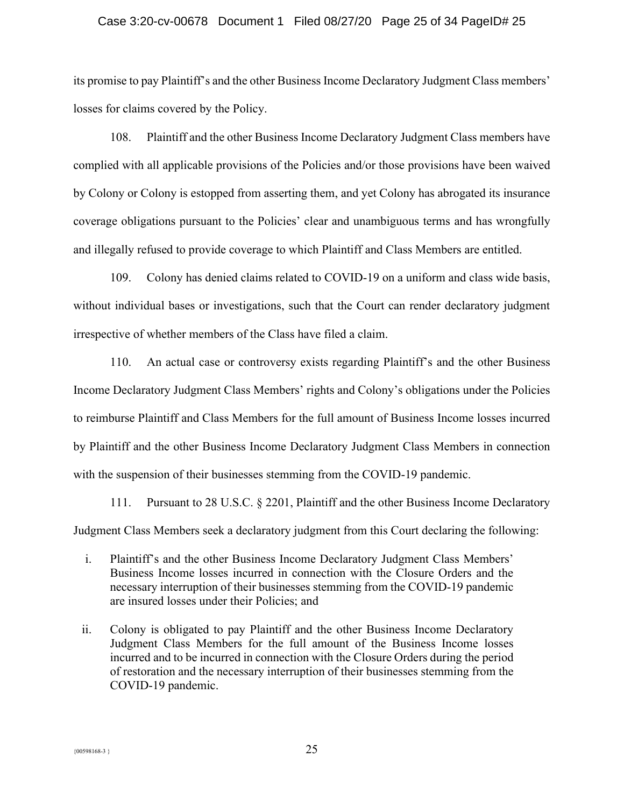#### Case 3:20-cv-00678 Document 1 Filed 08/27/20 Page 25 of 34 PageID# 25

its promise to pay Plaintiff's and the other Business Income Declaratory Judgment Class members' losses for claims covered by the Policy.

108. Plaintiff and the other Business Income Declaratory Judgment Class members have complied with all applicable provisions of the Policies and/or those provisions have been waived by Colony or Colony is estopped from asserting them, and yet Colony has abrogated its insurance coverage obligations pursuant to the Policies' clear and unambiguous terms and has wrongfully and illegally refused to provide coverage to which Plaintiff and Class Members are entitled.

109. Colony has denied claims related to COVID-19 on a uniform and class wide basis, without individual bases or investigations, such that the Court can render declaratory judgment irrespective of whether members of the Class have filed a claim.

110. An actual case or controversy exists regarding Plaintiff's and the other Business Income Declaratory Judgment Class Members' rights and Colony's obligations under the Policies to reimburse Plaintiff and Class Members for the full amount of Business Income losses incurred by Plaintiff and the other Business Income Declaratory Judgment Class Members in connection with the suspension of their businesses stemming from the COVID-19 pandemic.

111. Pursuant to 28 U.S.C. § 2201, Plaintiff and the other Business Income Declaratory Judgment Class Members seek a declaratory judgment from this Court declaring the following:

- i. Plaintiff's and the other Business Income Declaratory Judgment Class Members' Business Income losses incurred in connection with the Closure Orders and the necessary interruption of their businesses stemming from the COVID-19 pandemic are insured losses under their Policies; and
- ii. Colony is obligated to pay Plaintiff and the other Business Income Declaratory Judgment Class Members for the full amount of the Business Income losses incurred and to be incurred in connection with the Closure Orders during the period of restoration and the necessary interruption of their businesses stemming from the COVID-19 pandemic.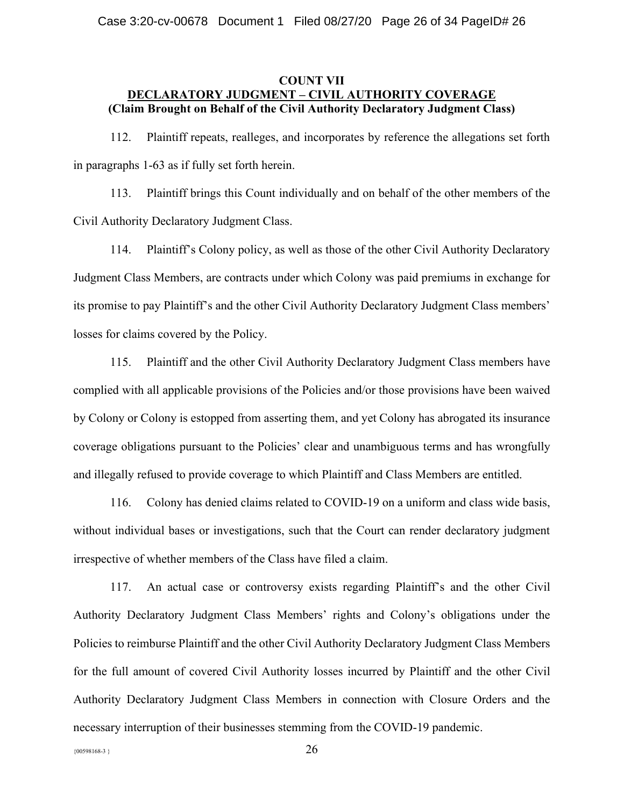## **COUNT VII DECLARATORY JUDGMENT ± CIVIL AUTHORITY COVERAGE (Claim Brought on Behalf of the Civil Authority Declaratory Judgment Class)**

112. Plaintiff repeats, realleges, and incorporates by reference the allegations set forth in paragraphs 1-63 as if fully set forth herein.

113. Plaintiff brings this Count individually and on behalf of the other members of the Civil Authority Declaratory Judgment Class.

114. Plaintiff's Colony policy, as well as those of the other Civil Authority Declaratory Judgment Class Members, are contracts under which Colony was paid premiums in exchange for its promise to pay Plaintiff's and the other Civil Authority Declaratory Judgment Class members' losses for claims covered by the Policy.

115. Plaintiff and the other Civil Authority Declaratory Judgment Class members have complied with all applicable provisions of the Policies and/or those provisions have been waived by Colony or Colony is estopped from asserting them, and yet Colony has abrogated its insurance coverage obligations pursuant to the Policies' clear and unambiguous terms and has wrongfully and illegally refused to provide coverage to which Plaintiff and Class Members are entitled.

116. Colony has denied claims related to COVID-19 on a uniform and class wide basis, without individual bases or investigations, such that the Court can render declaratory judgment irrespective of whether members of the Class have filed a claim.

117. An actual case or controversy exists regarding Plaintiff's and the other Civil Authority Declaratory Judgment Class Members' rights and Colony's obligations under the Policies to reimburse Plaintiff and the other Civil Authority Declaratory Judgment Class Members for the full amount of covered Civil Authority losses incurred by Plaintiff and the other Civil Authority Declaratory Judgment Class Members in connection with Closure Orders and the necessary interruption of their businesses stemming from the COVID-19 pandemic.

 ${^{(00598168-3)}}$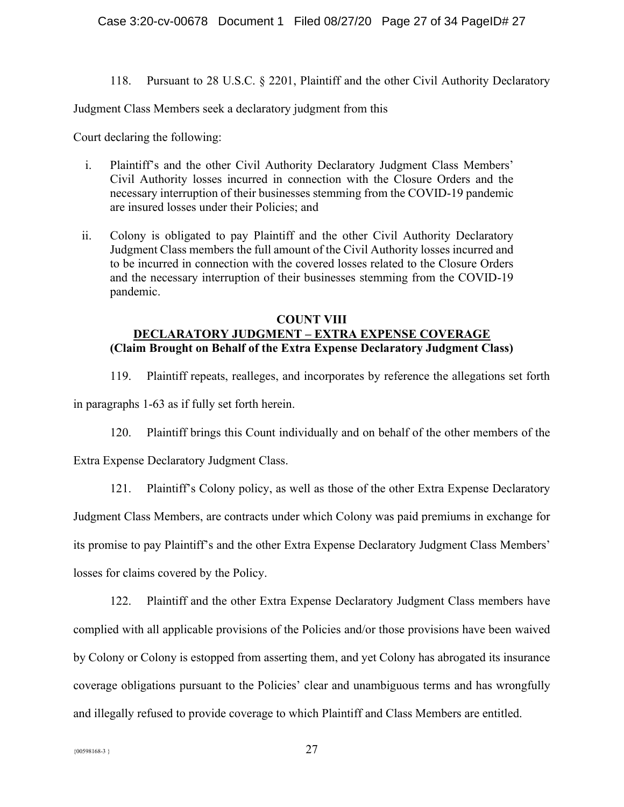118. Pursuant to 28 U.S.C. § 2201, Plaintiff and the other Civil Authority Declaratory

Judgment Class Members seek a declaratory judgment from this

Court declaring the following:

- i. Plaintiff's and the other Civil Authority Declaratory Judgment Class Members' Civil Authority losses incurred in connection with the Closure Orders and the necessary interruption of their businesses stemming from the COVID-19 pandemic are insured losses under their Policies; and
- ii. Colony is obligated to pay Plaintiff and the other Civil Authority Declaratory Judgment Class members the full amount of the Civil Authority losses incurred and to be incurred in connection with the covered losses related to the Closure Orders and the necessary interruption of their businesses stemming from the COVID-19 pandemic.

## **COUNT VIII DECLARATORY JUDGMENT ± EXTRA EXPENSE COVERAGE (Claim Brought on Behalf of the Extra Expense Declaratory Judgment Class)**

119. Plaintiff repeats, realleges, and incorporates by reference the allegations set forth

in paragraphs 1-63 as if fully set forth herein.

120. Plaintiff brings this Count individually and on behalf of the other members of the

Extra Expense Declaratory Judgment Class.

121. Plaintiff's Colony policy, as well as those of the other Extra Expense Declaratory Judgment Class Members, are contracts under which Colony was paid premiums in exchange for

its promise to pay Plaintiff's and the other Extra Expense Declaratory Judgment Class Members'

losses for claims covered by the Policy.

122. Plaintiff and the other Extra Expense Declaratory Judgment Class members have complied with all applicable provisions of the Policies and/or those provisions have been waived by Colony or Colony is estopped from asserting them, and yet Colony has abrogated its insurance coverage obligations pursuant to the Policies' clear and unambiguous terms and has wrongfully and illegally refused to provide coverage to which Plaintiff and Class Members are entitled.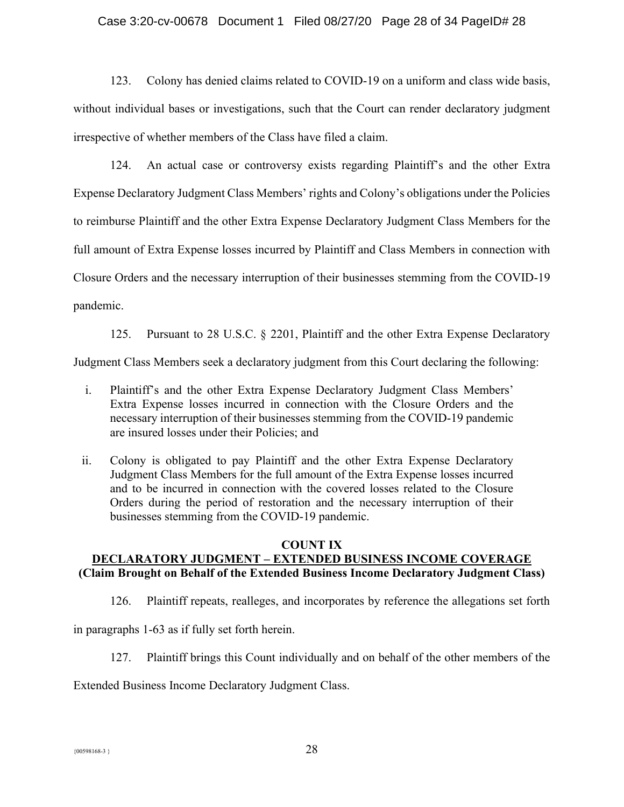### Case 3:20-cv-00678 Document 1 Filed 08/27/20 Page 28 of 34 PageID# 28

123. Colony has denied claims related to COVID-19 on a uniform and class wide basis, without individual bases or investigations, such that the Court can render declaratory judgment irrespective of whether members of the Class have filed a claim.

124. An actual case or controversy exists regarding Plaintiff's and the other Extra Expense Declaratory Judgment Class Members' rights and Colony's obligations under the Policies to reimburse Plaintiff and the other Extra Expense Declaratory Judgment Class Members for the full amount of Extra Expense losses incurred by Plaintiff and Class Members in connection with Closure Orders and the necessary interruption of their businesses stemming from the COVID-19 pandemic.

125. Pursuant to 28 U.S.C. § 2201, Plaintiff and the other Extra Expense Declaratory

Judgment Class Members seek a declaratory judgment from this Court declaring the following:

- i. Plaintiff's and the other Extra Expense Declaratory Judgment Class Members' Extra Expense losses incurred in connection with the Closure Orders and the necessary interruption of their businesses stemming from the COVID-19 pandemic are insured losses under their Policies; and
- ii. Colony is obligated to pay Plaintiff and the other Extra Expense Declaratory Judgment Class Members for the full amount of the Extra Expense losses incurred and to be incurred in connection with the covered losses related to the Closure Orders during the period of restoration and the necessary interruption of their businesses stemming from the COVID-19 pandemic.

## **COUNT IX**

# **DECLARATORY JUDGMENT ± EXTENDED BUSINESS INCOME COVERAGE (Claim Brought on Behalf of the Extended Business Income Declaratory Judgment Class)**

126. Plaintiff repeats, realleges, and incorporates by reference the allegations set forth

in paragraphs 1-63 as if fully set forth herein.

127. Plaintiff brings this Count individually and on behalf of the other members of the

Extended Business Income Declaratory Judgment Class.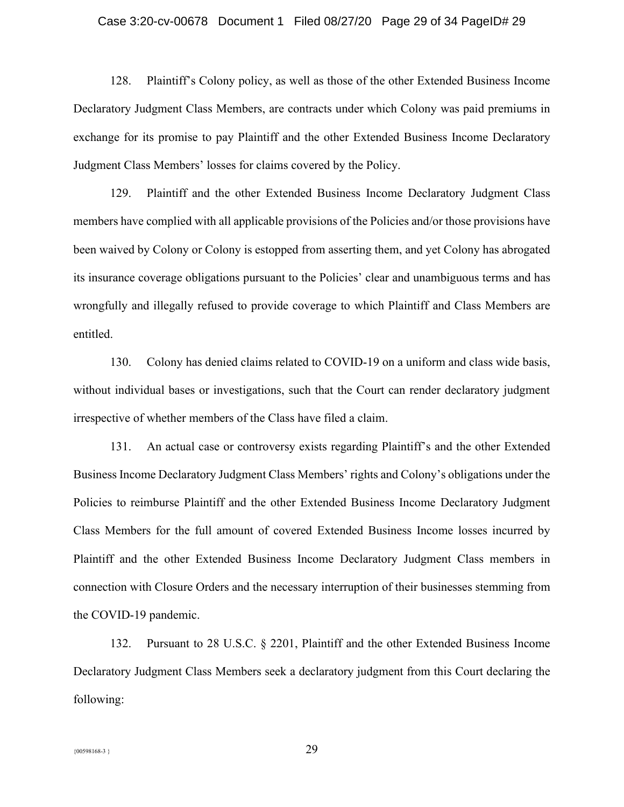#### Case 3:20-cv-00678 Document 1 Filed 08/27/20 Page 29 of 34 PageID# 29

128. Plaintiff's Colony policy, as well as those of the other Extended Business Income Declaratory Judgment Class Members, are contracts under which Colony was paid premiums in exchange for its promise to pay Plaintiff and the other Extended Business Income Declaratory Judgment Class Members' losses for claims covered by the Policy.

129. Plaintiff and the other Extended Business Income Declaratory Judgment Class members have complied with all applicable provisions of the Policies and/or those provisions have been waived by Colony or Colony is estopped from asserting them, and yet Colony has abrogated its insurance coverage obligations pursuant to the Policies' clear and unambiguous terms and has wrongfully and illegally refused to provide coverage to which Plaintiff and Class Members are entitled.

130. Colony has denied claims related to COVID-19 on a uniform and class wide basis, without individual bases or investigations, such that the Court can render declaratory judgment irrespective of whether members of the Class have filed a claim.

131. An actual case or controversy exists regarding Plaintiff's and the other Extended Business Income Declaratory Judgment Class Members' rights and Colony's obligations under the Policies to reimburse Plaintiff and the other Extended Business Income Declaratory Judgment Class Members for the full amount of covered Extended Business Income losses incurred by Plaintiff and the other Extended Business Income Declaratory Judgment Class members in connection with Closure Orders and the necessary interruption of their businesses stemming from the COVID-19 pandemic.

132. Pursuant to 28 U.S.C. § 2201, Plaintiff and the other Extended Business Income Declaratory Judgment Class Members seek a declaratory judgment from this Court declaring the following: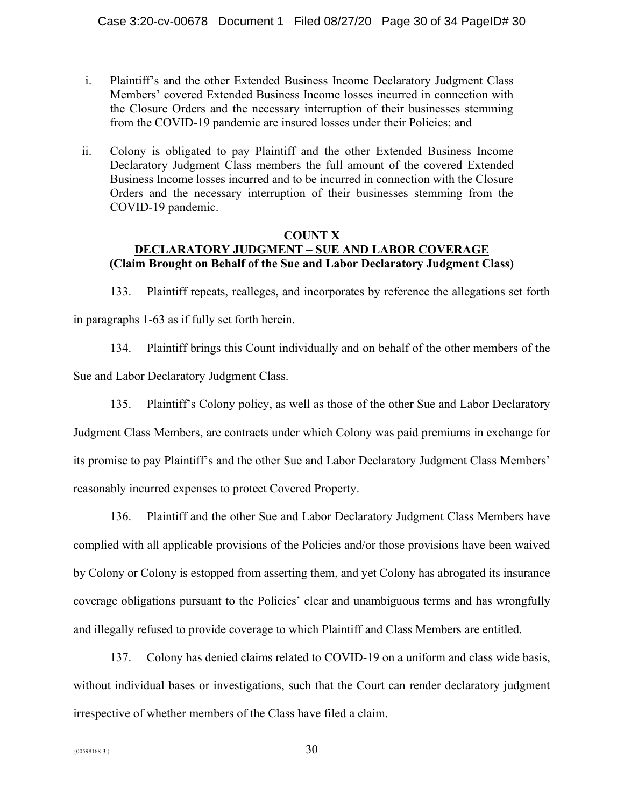- i. Plaintiff's and the other Extended Business Income Declaratory Judgment Class Members' covered Extended Business Income losses incurred in connection with the Closure Orders and the necessary interruption of their businesses stemming from the COVID-19 pandemic are insured losses under their Policies; and
- ii. Colony is obligated to pay Plaintiff and the other Extended Business Income Declaratory Judgment Class members the full amount of the covered Extended Business Income losses incurred and to be incurred in connection with the Closure Orders and the necessary interruption of their businesses stemming from the COVID-19 pandemic.

## **COUNT X DECLARATORY JUDGMENT ± SUE AND LABOR COVERAGE (Claim Brought on Behalf of the Sue and Labor Declaratory Judgment Class)**

133. Plaintiff repeats, realleges, and incorporates by reference the allegations set forth in paragraphs 1-63 as if fully set forth herein.

134. Plaintiff brings this Count individually and on behalf of the other members of the Sue and Labor Declaratory Judgment Class.

135. Plaintiff's Colony policy, as well as those of the other Sue and Labor Declaratory Judgment Class Members, are contracts under which Colony was paid premiums in exchange for its promise to pay Plaintiff's and the other Sue and Labor Declaratory Judgment Class Members' reasonably incurred expenses to protect Covered Property.

136. Plaintiff and the other Sue and Labor Declaratory Judgment Class Members have complied with all applicable provisions of the Policies and/or those provisions have been waived by Colony or Colony is estopped from asserting them, and yet Colony has abrogated its insurance coverage obligations pursuant to the Policies' clear and unambiguous terms and has wrongfully and illegally refused to provide coverage to which Plaintiff and Class Members are entitled.

137. Colony has denied claims related to COVID-19 on a uniform and class wide basis, without individual bases or investigations, such that the Court can render declaratory judgment irrespective of whether members of the Class have filed a claim.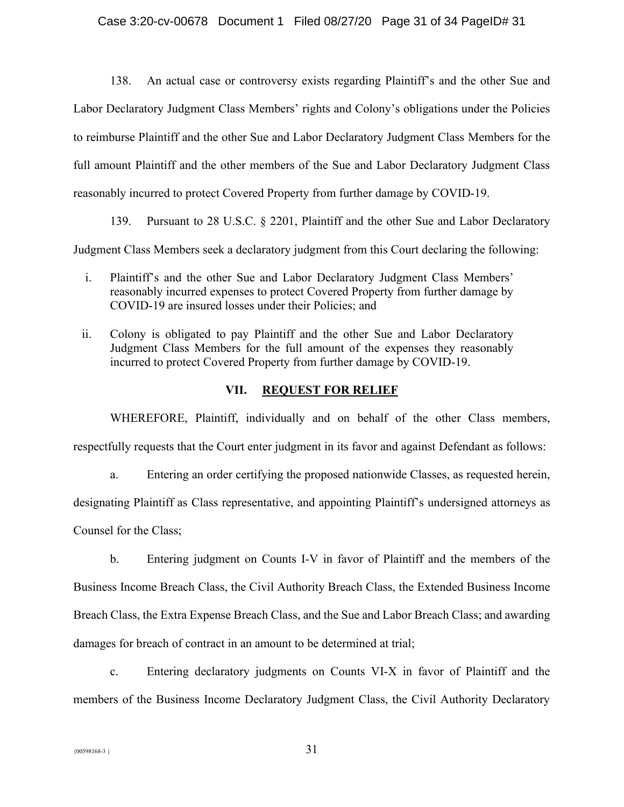138. An actual case or controversy exists regarding Plaintiff's and the other Sue and Labor Declaratory Judgment Class Members' rights and Colony's obligations under the Policies to reimburse Plaintiff and the other Sue and Labor Declaratory Judgment Class Members for the full amount Plaintiff and the other members of the Sue and Labor Declaratory Judgment Class reasonably incurred to protect Covered Property from further damage by COVID-19.

139. Pursuant to 28 U.S.C. § 2201, Plaintiff and the other Sue and Labor Declaratory

Judgment Class Members seek a declaratory judgment from this Court declaring the following:

- i. Plaintiff's and the other Sue and Labor Declaratory Judgment Class Members' reasonably incurred expenses to protect Covered Property from further damage by COVID-19 are insured losses under their Policies; and
- ii. Colony is obligated to pay Plaintiff and the other Sue and Labor Declaratory Judgment Class Members for the full amount of the expenses they reasonably incurred to protect Covered Property from further damage by COVID-19.

## **VII. REQUEST FOR RELIEF**

WHEREFORE, Plaintiff, individually and on behalf of the other Class members, respectfully requests that the Court enter judgment in its favor and against Defendant as follows:

a. Entering an order certifying the proposed nationwide Classes, as requested herein,

designating Plaintiff as Class representative, and appointing Plaintiff's undersigned attorneys as

Counsel for the Class;

b. Entering judgment on Counts I-V in favor of Plaintiff and the members of the Business Income Breach Class, the Civil Authority Breach Class, the Extended Business Income Breach Class, the Extra Expense Breach Class, and the Sue and Labor Breach Class; and awarding damages for breach of contract in an amount to be determined at trial;

c. Entering declaratory judgments on Counts VI-X in favor of Plaintiff and the members of the Business Income Declaratory Judgment Class, the Civil Authority Declaratory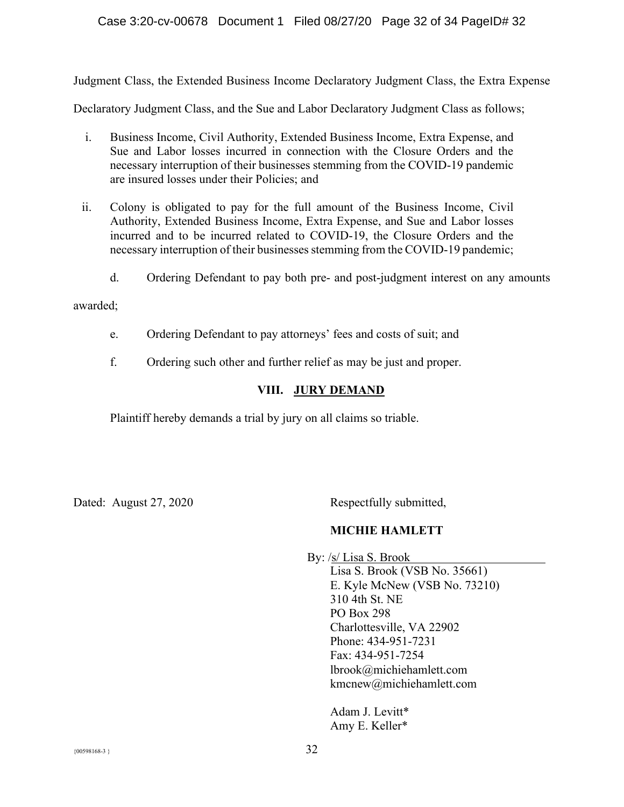## Case 3:20-cv-00678 Document 1 Filed 08/27/20 Page 32 of 34 PageID# 32

Judgment Class, the Extended Business Income Declaratory Judgment Class, the Extra Expense

Declaratory Judgment Class, and the Sue and Labor Declaratory Judgment Class as follows;

- i. Business Income, Civil Authority, Extended Business Income, Extra Expense, and Sue and Labor losses incurred in connection with the Closure Orders and the necessary interruption of their businesses stemming from the COVID-19 pandemic are insured losses under their Policies; and
- ii. Colony is obligated to pay for the full amount of the Business Income, Civil Authority, Extended Business Income, Extra Expense, and Sue and Labor losses incurred and to be incurred related to COVID-19, the Closure Orders and the necessary interruption of their businesses stemming from the COVID-19 pandemic;
	- d. Ordering Defendant to pay both pre- and post-judgment interest on any amounts

## awarded;

- e. Ordering Defendant to pay attorneys' fees and costs of suit; and
- f. Ordering such other and further relief as may be just and proper.

## **VIII. JURY DEMAND**

Plaintiff hereby demands a trial by jury on all claims so triable.

Dated: August 27, 2020 Respectfully submitted,

## **MICHIE HAMLETT**

By: /s/ Lisa S. Brook Lisa S. Brook (VSB No. 35661) E. Kyle McNew (VSB No. 73210) 310 4th St. NE PO Box 298 Charlottesville, VA 22902 Phone: 434-951-7231 Fax: 434-951-7254 lbrook@michiehamlett.com [kmcnew@michiehamlett.com](mailto:kmcnew@michiehamlett.com)

> Adam J. Levitt\* Amy E. Keller\*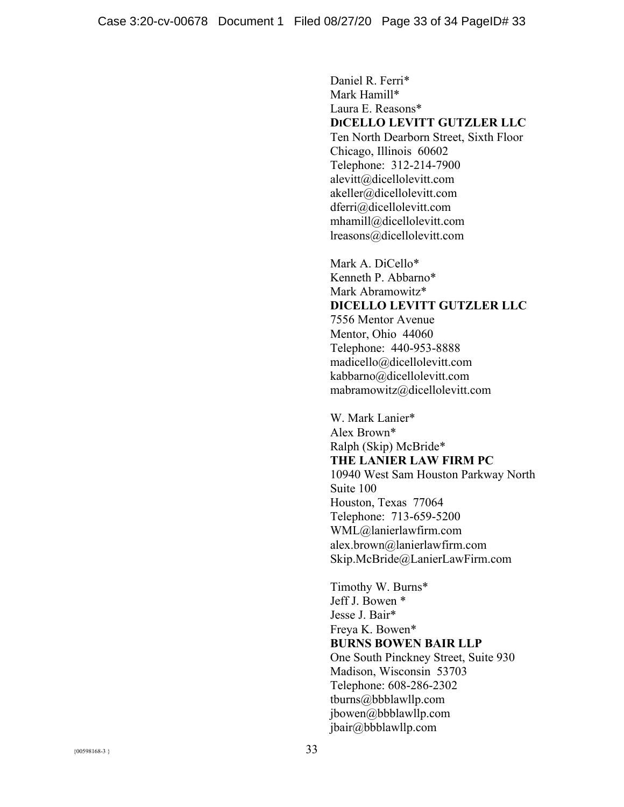Daniel R. Ferri\* Mark Hamill\* Laura E. Reasons\* **DICELLO LEVITT GUTZLER LLC** Ten North Dearborn Street, Sixth Floor Chicago, Illinois 60602 Telephone: 312-214-7900 alevitt@dicellolevitt.com akeller@dicellolevitt.com dferri@dicellolevitt.com mhamill@dicellolevitt.com lreasons@dicellolevitt.com

Mark A. DiCello\* Kenneth P. Abbarno\* Mark Abramowitz\* **DICELLO LEVITT GUTZLER LLC** 7556 Mentor Avenue Mentor, Ohio 44060 Telephone: 440-953-8888 madicello@dicellolevitt.com kabbarno@dicellolevitt.com mabramowitz@dicellolevitt.com

W. Mark Lanier\* Alex Brown\* Ralph (Skip) McBride\* **THE LANIER LAW FIRM PC** 10940 West Sam Houston Parkway North Suite 100 Houston, Texas 77064 Telephone: 713-659-5200 WML@lanierlawfirm.com alex.brown@lanierlawfirm.com Skip.McBride@LanierLawFirm.com

Timothy W. Burns\* Jeff J. Bowen \* Jesse J. Bair\* Freya K. Bowen\* **BURNS BOWEN BAIR LLP** One South Pinckney Street, Suite 930 Madison, Wisconsin 53703 Telephone: 608-286-2302 tburns@bbblawllp.com jbowen@bbblawllp.com jbair@bbblawllp.com